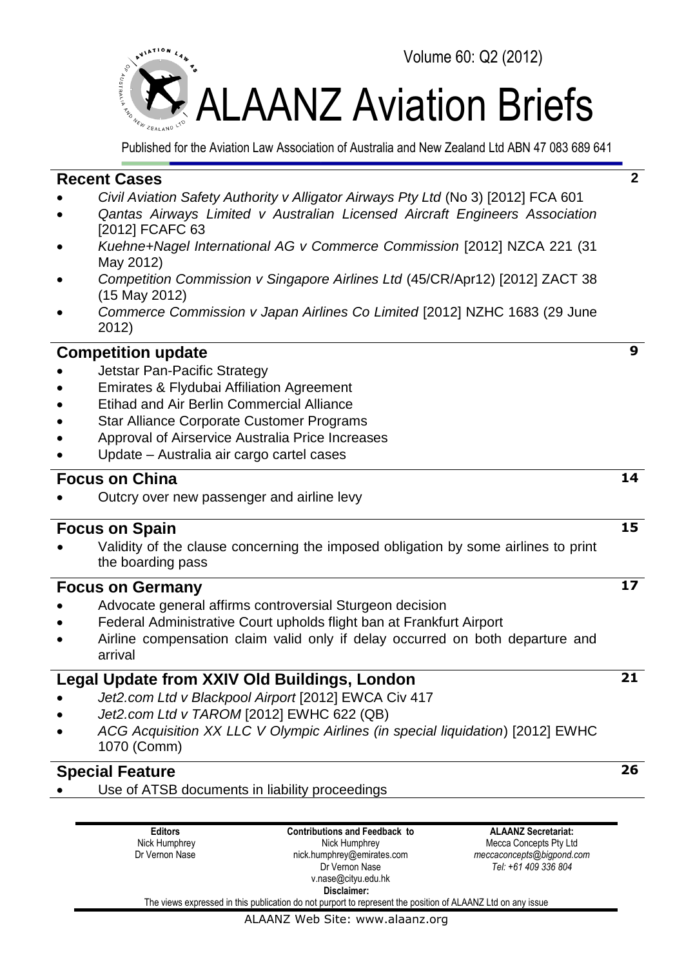

Published for the Aviation Law Association of Australia and New Zealand Ltd ABN 47 083 689 641

# **Recent Cases**

- *Civil Aviation Safety Authority v Alligator Airways Pty Ltd* (No 3) [2012] FCA 601
- *Qantas Airways Limited v Australian Licensed Aircraft Engineers Association*  [2012] FCAFC 63
- *Kuehne+Nagel International AG v Commerce Commission* [2012] NZCA 221 (31 May 2012)
- *Competition Commission v Singapore Airlines Ltd* (45/CR/Apr12) [2012] ZACT 38 (15 May 2012)
- *Commerce Commission v Japan Airlines Co Limited* [2012] NZHC 1683 (29 June 2012)

# **Competition update**

- Jetstar Pan-Pacific Strategy
- Emirates & Flydubai Affiliation Agreement
- Etihad and Air Berlin Commercial Alliance
- Star Alliance Corporate Customer Programs
- Approval of Airservice Australia Price Increases
- Update Australia air cargo cartel cases

# **Focus on China**

Outcry over new passenger and airline levy

# **Focus on Spain**

 Validity of the clause concerning the imposed obligation by some airlines to print the boarding pass

# **Focus on Germany**

- Advocate general affirms controversial Sturgeon decision
- Federal Administrative Court upholds flight ban at Frankfurt Airport
- Airline compensation claim valid only if delay occurred on both departure and arrival

# **Legal Update from XXIV Old Buildings, London**

- *Jet2.com Ltd v Blackpool Airport* [2012] EWCA Civ 417
- *Jet2.com Ltd v TAROM* [2012] EWHC 622 (QB)
- *ACG Acquisition XX LLC V Olympic Airlines (in special liquidation*) [2012] EWHC 1070 (Comm)

# **Special Feature**

Use of ATSB documents in liability proceedings

**Editors** Nick Humphrey Dr Vernon Nase **Contributions and Feedback to** Nick Humphrey nick.humphrey@emirates.com Dr Vernon Nase v.nase@cityu.edu.hk **Disclaimer:**

**ALAANZ Secretariat:** Mecca Concepts Pty Ltd *meccaconcepts@bigpond.com Tel: +61 409 336 804*

The views expressed in this publication do not purport to represent the position of ALAANZ Ltd on any issue

#### ALAANZ Web Site: www.alaanz.org

**14**

**9**

**2**

# **15**

**17**

**21**

**26**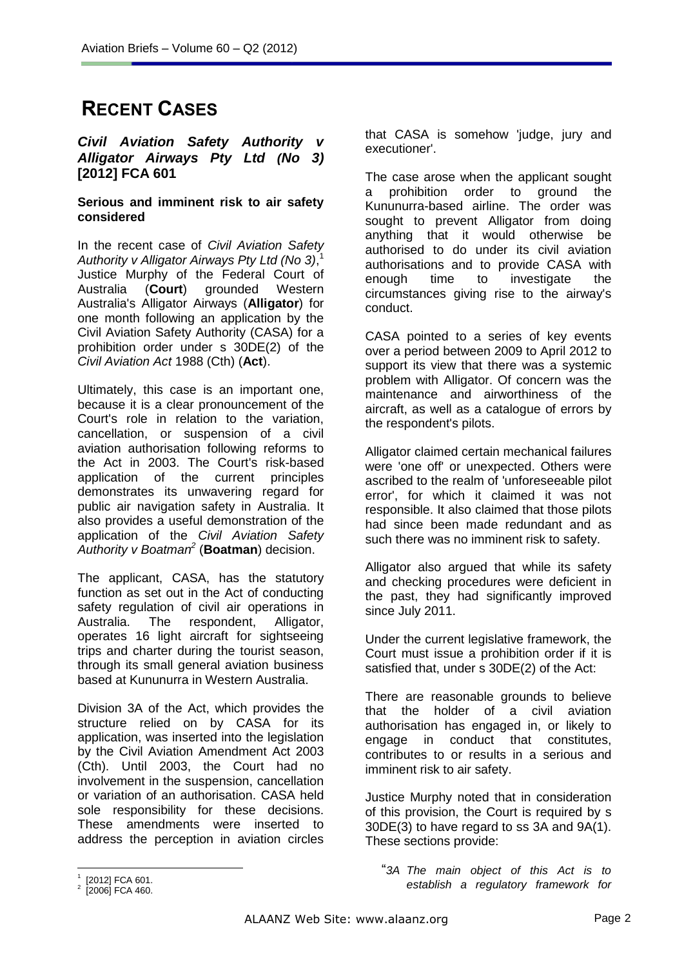# **RECENT CASES**

### *Civil Aviation Safety Authority v Alligator Airways Pty Ltd (No 3)* **[2012] FCA 601**

### **Serious and imminent risk to air safety considered**

In the recent case of *Civil Aviation Safety Authority v Alligator Airways Pty Ltd (No 3)*, 1 Justice Murphy of the Federal Court of Australia (**Court**) grounded Western Australia's Alligator Airways (**Alligator**) for one month following an application by the Civil Aviation Safety Authority (CASA) for a prohibition order under s 30DE(2) of the *Civil Aviation Act* 1988 (Cth) (**Act**).

Ultimately, this case is an important one, because it is a clear pronouncement of the Court's role in relation to the variation, cancellation, or suspension of a civil aviation authorisation following reforms to the Act in 2003. The Court's risk-based application of the current principles demonstrates its unwavering regard for public air navigation safety in Australia. It also provides a useful demonstration of the application of the *Civil Aviation Safety Authority v Boatman<sup>2</sup>* (**Boatman**) decision.

The applicant, CASA, has the statutory function as set out in the Act of conducting safety regulation of civil air operations in Australia. The respondent, Alligator, operates 16 light aircraft for sightseeing trips and charter during the tourist season, through its small general aviation business based at Kununurra in Western Australia.

Division 3A of the Act, which provides the structure relied on by CASA for its application, was inserted into the legislation by the Civil Aviation Amendment Act 2003 (Cth). Until 2003, the Court had no involvement in the suspension, cancellation or variation of an authorisation. CASA held sole responsibility for these decisions. These amendments were inserted to address the perception in aviation circles

that CASA is somehow 'judge, jury and executioner'.

The case arose when the applicant sought a prohibition order to ground the Kununurra-based airline. The order was sought to prevent Alligator from doing anything that it would otherwise be authorised to do under its civil aviation authorisations and to provide CASA with enough time to investigate the circumstances giving rise to the airway's conduct.

CASA pointed to a series of key events over a period between 2009 to April 2012 to support its view that there was a systemic problem with Alligator. Of concern was the maintenance and airworthiness of the aircraft, as well as a catalogue of errors by the respondent's pilots.

Alligator claimed certain mechanical failures were 'one off' or unexpected. Others were ascribed to the realm of 'unforeseeable pilot error', for which it claimed it was not responsible. It also claimed that those pilots had since been made redundant and as such there was no imminent risk to safety.

Alligator also argued that while its safety and checking procedures were deficient in the past, they had significantly improved since July 2011.

Under the current legislative framework, the Court must issue a prohibition order if it is satisfied that, under s 30DE(2) of the Act:

There are reasonable grounds to believe that the holder of a civil aviation authorisation has engaged in, or likely to engage in conduct that constitutes, contributes to or results in a serious and imminent risk to air safety.

Justice Murphy noted that in consideration of this provision, the Court is required by s 30DE(3) to have regard to ss 3A and 9A(1). These sections provide:

 $\overline{a}$ 1 [2012] FCA 601.

<sup>2</sup> [2006] FCA 460.

<sup>&</sup>quot;*3A The main object of this Act is to establish a regulatory framework for*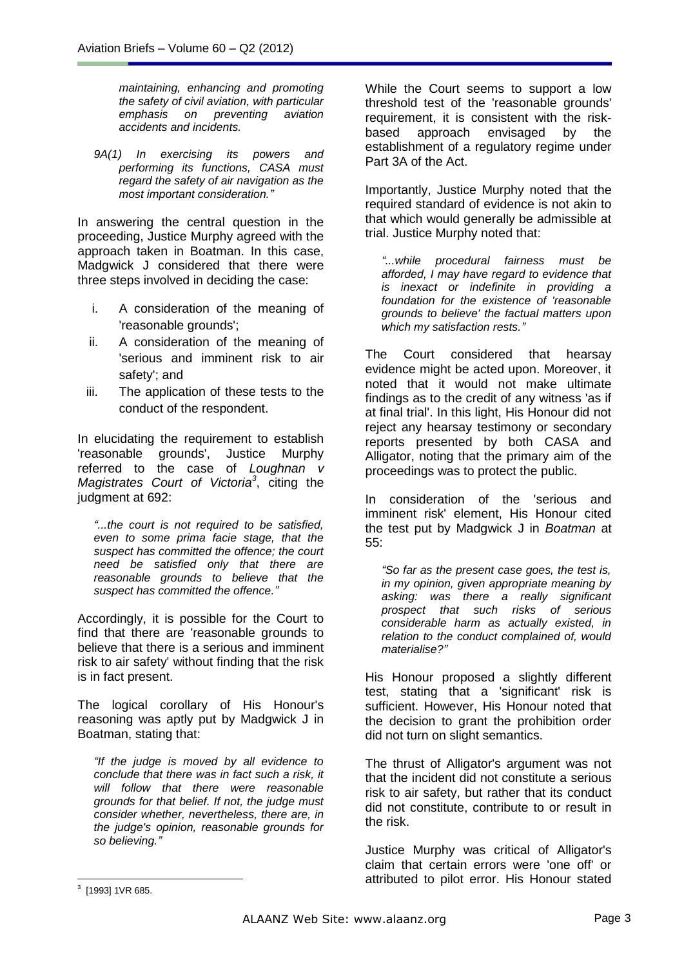*maintaining, enhancing and promoting the safety of civil aviation, with particular emphasis on preventing aviation accidents and incidents.*

*9A(1) In exercising its powers and performing its functions, CASA must regard the safety of air navigation as the most important consideration."*

In answering the central question in the proceeding, Justice Murphy agreed with the approach taken in Boatman. In this case, Madgwick J considered that there were three steps involved in deciding the case:

- i. A consideration of the meaning of 'reasonable grounds';
- ii. A consideration of the meaning of 'serious and imminent risk to air safety'; and
- iii. The application of these tests to the conduct of the respondent.

In elucidating the requirement to establish 'reasonable grounds', Justice Murphy referred to the case of *Loughnan v Magistrates Court of Victoria<sup>3</sup>* , citing the judgment at 692:

*"...the court is not required to be satisfied, even to some prima facie stage, that the suspect has committed the offence; the court need be satisfied only that there are reasonable grounds to believe that the suspect has committed the offence."*

Accordingly, it is possible for the Court to find that there are 'reasonable grounds to believe that there is a serious and imminent risk to air safety' without finding that the risk is in fact present.

The logical corollary of His Honour's reasoning was aptly put by Madgwick J in Boatman, stating that:

*"If the judge is moved by all evidence to conclude that there was in fact such a risk, it will follow that there were reasonable grounds for that belief. If not, the judge must consider whether, nevertheless, there are, in the judge's opinion, reasonable grounds for so believing."*

While the Court seems to support a low threshold test of the 'reasonable grounds' requirement, it is consistent with the riskbased approach envisaged by the establishment of a regulatory regime under Part 3A of the Act.

Importantly, Justice Murphy noted that the required standard of evidence is not akin to that which would generally be admissible at trial. Justice Murphy noted that:

*"...while procedural fairness must be afforded, I may have regard to evidence that is inexact or indefinite in providing a foundation for the existence of 'reasonable grounds to believe' the factual matters upon which my satisfaction rests."*

The Court considered that hearsay evidence might be acted upon. Moreover, it noted that it would not make ultimate findings as to the credit of any witness 'as if at final trial'. In this light, His Honour did not reject any hearsay testimony or secondary reports presented by both CASA and Alligator, noting that the primary aim of the proceedings was to protect the public.

In consideration of the 'serious and imminent risk' element, His Honour cited the test put by Madgwick J in *Boatman* at 55:

*"So far as the present case goes, the test is, in my opinion, given appropriate meaning by asking: was there a really significant prospect that such risks of serious considerable harm as actually existed, in relation to the conduct complained of, would materialise?"*

His Honour proposed a slightly different test, stating that a 'significant' risk is sufficient. However, His Honour noted that the decision to grant the prohibition order did not turn on slight semantics.

The thrust of Alligator's argument was not that the incident did not constitute a serious risk to air safety, but rather that its conduct did not constitute, contribute to or result in the risk.

Justice Murphy was critical of Alligator's claim that certain errors were 'one off' or attributed to pilot error. His Honour stated

<sup>3</sup> [1993] 1VR 685.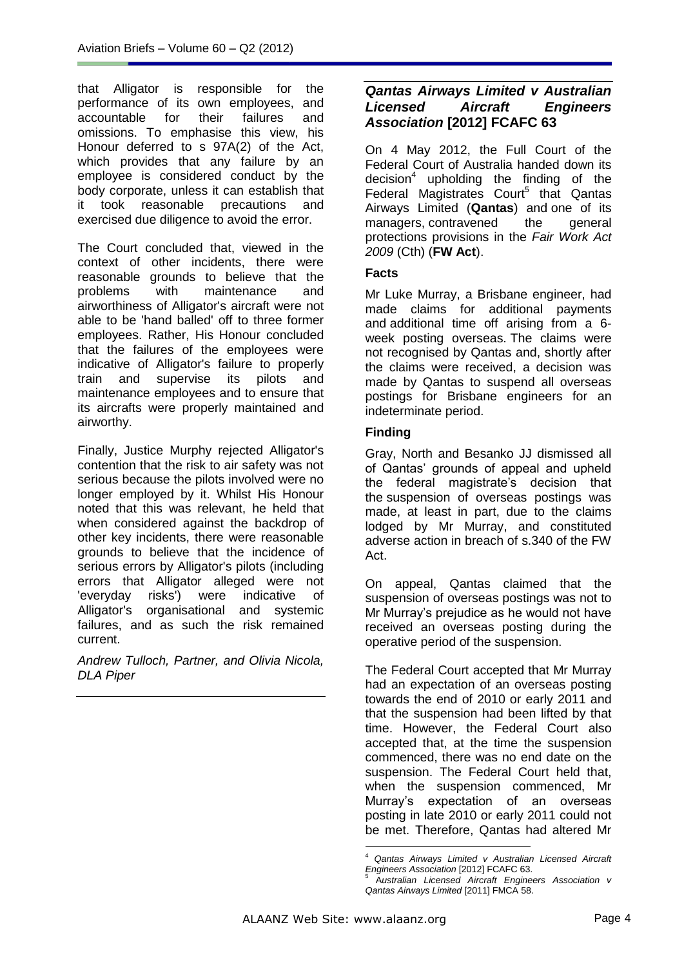that Alligator is responsible for the performance of its own employees, and accountable for their failures and omissions. To emphasise this view, his Honour deferred to s 97A(2) of the Act, which provides that any failure by an employee is considered conduct by the body corporate, unless it can establish that it took reasonable precautions and exercised due diligence to avoid the error.

The Court concluded that, viewed in the context of other incidents, there were reasonable grounds to believe that the problems with maintenance and airworthiness of Alligator's aircraft were not able to be 'hand balled' off to three former employees. Rather, His Honour concluded that the failures of the employees were indicative of Alligator's failure to properly train and supervise its pilots and maintenance employees and to ensure that its aircrafts were properly maintained and airworthy.

Finally, Justice Murphy rejected Alligator's contention that the risk to air safety was not serious because the pilots involved were no longer employed by it. Whilst His Honour noted that this was relevant, he held that when considered against the backdrop of other key incidents, there were reasonable grounds to believe that the incidence of serious errors by Alligator's pilots (including errors that Alligator alleged were not 'everyday risks') were indicative of Alligator's organisational and systemic failures, and as such the risk remained current.

*Andrew Tulloch, Partner, and Olivia Nicola, DLA Piper*

# *Qantas Airways Limited v Australian Licensed Aircraft Engineers Association* **[2012] FCAFC 63**

On 4 May 2012, the Full Court of the Federal Court of Australia handed down its decision<sup>4</sup> upholding the finding of the Federal Magistrates Court<sup>5</sup> that Qantas Airways Limited (**Qantas**) and one of its managers, contravened the general protections provisions in the *Fair Work Act 2009* (Cth) (**FW Act**).

### **Facts**

Mr Luke Murray, a Brisbane engineer, had made claims for additional payments and additional time off arising from a 6 week posting overseas. The claims were not recognised by Qantas and, shortly after the claims were received, a decision was made by Qantas to suspend all overseas postings for Brisbane engineers for an indeterminate period.

# **Finding**

Gray, North and Besanko JJ dismissed all of Qantas' grounds of appeal and upheld the federal magistrate's decision that the suspension of overseas postings was made, at least in part, due to the claims lodged by Mr Murray, and constituted adverse action in breach of s.340 of the FW Act.

On appeal, Qantas claimed that the suspension of overseas postings was not to Mr Murray's prejudice as he would not have received an overseas posting during the operative period of the suspension.

The Federal Court accepted that Mr Murray had an expectation of an overseas posting towards the end of 2010 or early 2011 and that the suspension had been lifted by that time. However, the Federal Court also accepted that, at the time the suspension commenced, there was no end date on the suspension. The Federal Court held that, when the suspension commenced, Mr Murray's expectation of an overseas posting in late 2010 or early 2011 could not be met. Therefore, Qantas had altered Mr

<sup>&</sup>lt;u>.</u> <sup>4</sup> *Qantas Airways Limited v Australian Licensed Aircraft Engineers Association* [2012] FCAFC 63.

<sup>5</sup> A*ustralian Licensed Aircraft Engineers Association v Qantas Airways Limited* [2011] FMCA 58.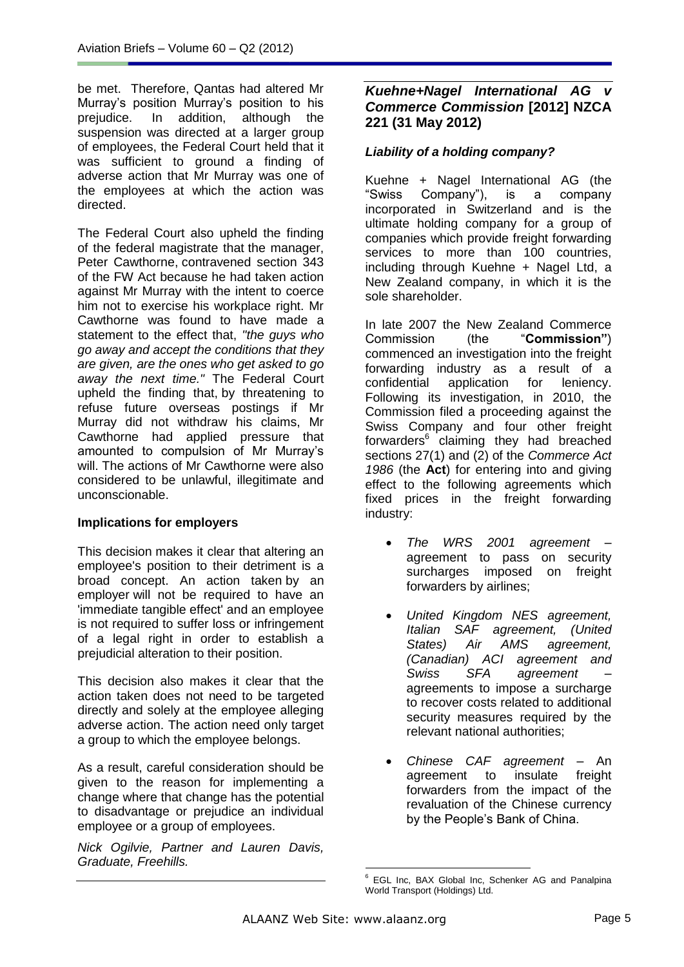be met. Therefore, Qantas had altered Mr Murray's position Murray's position to his prejudice. In addition, although the suspension was directed at a larger group of employees, the Federal Court held that it was sufficient to ground a finding of adverse action that Mr Murray was one of the employees at which the action was directed.

The Federal Court also upheld the finding of the federal magistrate that the manager, Peter Cawthorne, contravened section 343 of the FW Act because he had taken action against Mr Murray with the intent to coerce him not to exercise his workplace right. Mr Cawthorne was found to have made a statement to the effect that, *"the guys who go away and accept the conditions that they are given, are the ones who get asked to go away the next time."* The Federal Court upheld the finding that, by threatening to refuse future overseas postings if Mr Murray did not withdraw his claims, Mr Cawthorne had applied pressure that amounted to compulsion of Mr Murray's will. The actions of Mr Cawthorne were also considered to be unlawful, illegitimate and unconscionable.

# **Implications for employers**

This decision makes it clear that altering an employee's position to their detriment is a broad concept. An action taken by an employer will not be required to have an 'immediate tangible effect' and an employee is not required to suffer loss or infringement of a legal right in order to establish a prejudicial alteration to their position.

This decision also makes it clear that the action taken does not need to be targeted directly and solely at the employee alleging adverse action. The action need only target a group to which the employee belongs.

As a result, careful consideration should be given to the reason for implementing a change where that change has the potential to disadvantage or prejudice an individual employee or a group of employees.

*Nick Ogilvie, Partner and Lauren Davis, Graduate, Freehills.*

# *Kuehne+Nagel International AG v Commerce Commission* **[2012] NZCA 221 (31 May 2012)**

# *Liability of a holding company?*

Kuehne + Nagel International AG (the "Swiss Company"), is a company Company"), is a incorporated in Switzerland and is the ultimate holding company for a group of companies which provide freight forwarding services to more than 100 countries, including through Kuehne + Nagel Ltd, a New Zealand company, in which it is the sole shareholder.

In late 2007 the New Zealand Commerce Commission (the "**Commission"**) commenced an investigation into the freight forwarding industry as a result of a confidential application for leniency. Following its investigation, in 2010, the Commission filed a proceeding against the Swiss Company and four other freight forwarders<sup>6</sup> claiming they had breached sections 27(1) and (2) of the *Commerce Act 1986* (the **Act**) for entering into and giving effect to the following agreements which fixed prices in the freight forwarding industry:

- *The WRS 2001 agreement –* agreement to pass on security surcharges imposed on freight forwarders by airlines;
- *United Kingdom NES agreement, Italian SAF agreement, (United States) Air AMS agreement, (Canadian) ACI agreement and Swiss SFA agreement –* agreements to impose a surcharge to recover costs related to additional security measures required by the relevant national authorities;
- *Chinese CAF agreement –* An agreement to insulate freight forwarders from the impact of the revaluation of the Chinese currency by the People's Bank of China.

<sup>&</sup>lt;u>.</u> <sup>6</sup> EGL Inc, BAX Global Inc, Schenker AG and Panalpina World Transport (Holdings) Ltd.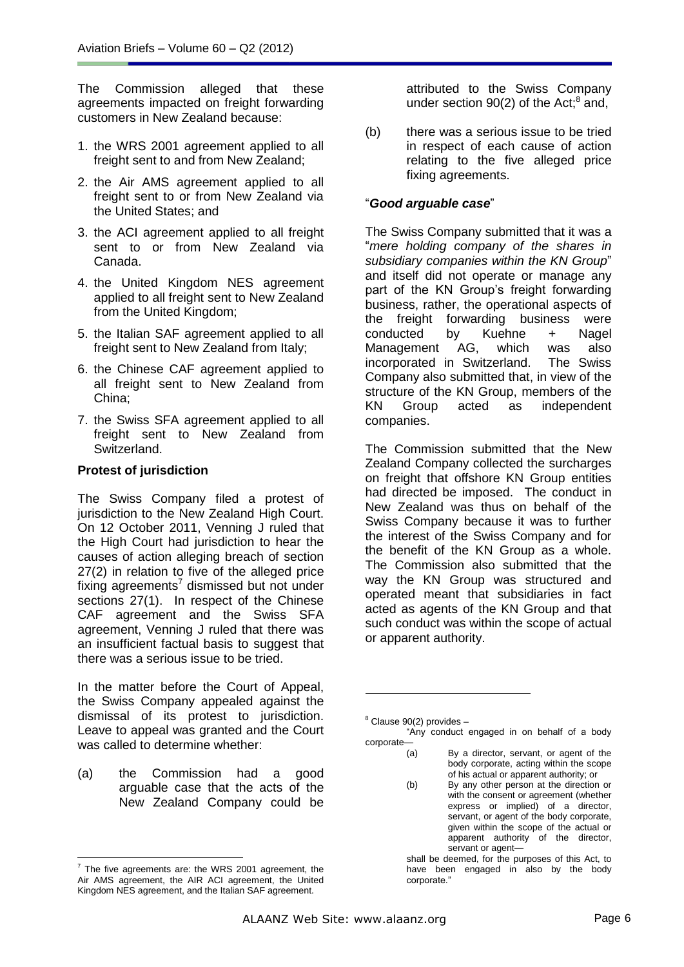The Commission alleged that these agreements impacted on freight forwarding customers in New Zealand because:

- 1. the WRS 2001 agreement applied to all freight sent to and from New Zealand;
- 2. the Air AMS agreement applied to all freight sent to or from New Zealand via the United States; and
- 3. the ACI agreement applied to all freight sent to or from New Zealand via Canada.
- 4. the United Kingdom NES agreement applied to all freight sent to New Zealand from the United Kingdom;
- 5. the Italian SAF agreement applied to all freight sent to New Zealand from Italy;
- 6. the Chinese CAF agreement applied to all freight sent to New Zealand from China;
- 7. the Swiss SFA agreement applied to all freight sent to New Zealand from Switzerland.

### **Protest of jurisdiction**

The Swiss Company filed a protest of jurisdiction to the New Zealand High Court. On 12 October 2011, Venning J ruled that the High Court had jurisdiction to hear the causes of action alleging breach of section 27(2) in relation to five of the alleged price fixing agreements<sup>7</sup> dismissed but not under sections 27(1). In respect of the Chinese CAF agreement and the Swiss SFA agreement, Venning J ruled that there was an insufficient factual basis to suggest that there was a serious issue to be tried.

In the matter before the Court of Appeal, the Swiss Company appealed against the dismissal of its protest to jurisdiction. Leave to appeal was granted and the Court was called to determine whether:

(a) the Commission had a good arguable case that the acts of the New Zealand Company could be

attributed to the Swiss Company under section  $90(2)$  of the Act; $^8$  and,

(b) there was a serious issue to be tried in respect of each cause of action relating to the five alleged price fixing agreements.

### "*Good arguable case*"

The Swiss Company submitted that it was a "*mere holding company of the shares in subsidiary companies within the KN Group*" and itself did not operate or manage any part of the KN Group's freight forwarding business, rather, the operational aspects of the freight forwarding business were<br>conducted by Kuehne + Nagel conducted by Kuehne + Nagel Management AG, which was also incorporated in Switzerland. The Swiss Company also submitted that, in view of the structure of the KN Group, members of the KN Group acted as independent companies.

The Commission submitted that the New Zealand Company collected the surcharges on freight that offshore KN Group entities had directed be imposed. The conduct in New Zealand was thus on behalf of the Swiss Company because it was to further the interest of the Swiss Company and for the benefit of the KN Group as a whole. The Commission also submitted that the way the KN Group was structured and operated meant that subsidiaries in fact acted as agents of the KN Group and that such conduct was within the scope of actual or apparent authority.

(b) By any other person at the direction or with the consent or agreement (whether express or implied) of a director, servant, or agent of the body corporate, given within the scope of the actual or apparent authority of the director, servant or agent-

shall be deemed, for the purposes of this Act, to have been engaged in also by the body corporate."

<u>.</u>

 $\overline{a}$  The five agreements are: the WRS 2001 agreement, the Air AMS agreement, the AIR ACI agreement, the United Kingdom NES agreement, and the Italian SAF agreement.

 $8$  Clause 90(2) provides  $-$ "Any conduct engaged in on behalf of a body corporate—

<sup>(</sup>a) By a director, servant, or agent of the body corporate, acting within the scope of his actual or apparent authority; or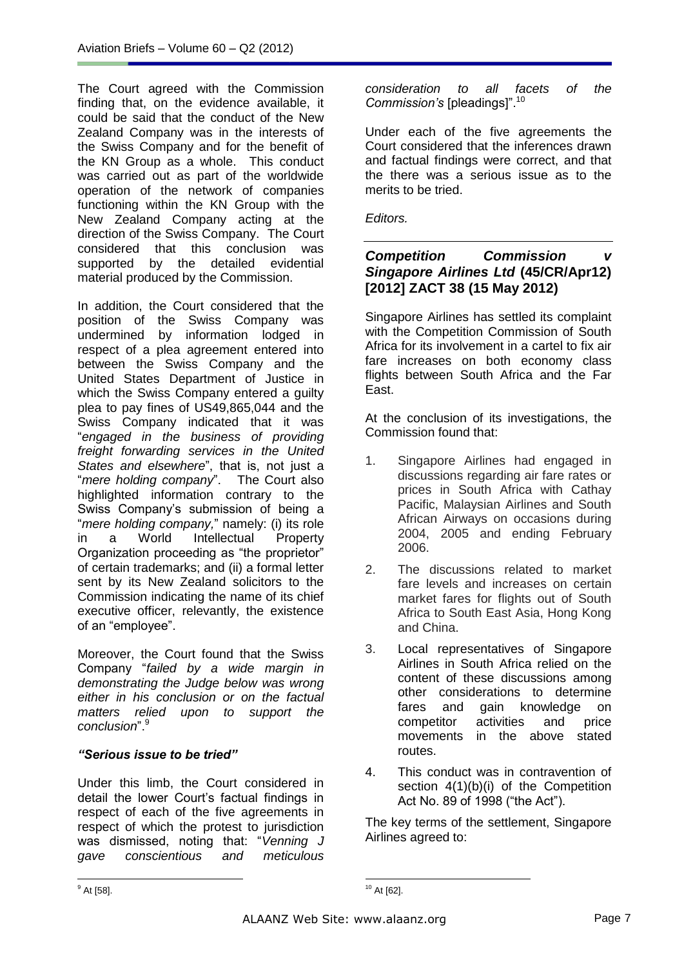The Court agreed with the Commission finding that, on the evidence available, it could be said that the conduct of the New Zealand Company was in the interests of the Swiss Company and for the benefit of the KN Group as a whole. This conduct was carried out as part of the worldwide operation of the network of companies functioning within the KN Group with the New Zealand Company acting at the direction of the Swiss Company. The Court considered that this conclusion was supported by the detailed evidential material produced by the Commission.

In addition, the Court considered that the position of the Swiss Company was undermined by information lodged in respect of a plea agreement entered into between the Swiss Company and the United States Department of Justice in which the Swiss Company entered a guilty plea to pay fines of US49,865,044 and the Swiss Company indicated that it was "*engaged in the business of providing freight forwarding services in the United States and elsewhere*", that is, not just a "*mere holding company*". The Court also highlighted information contrary to the Swiss Company's submission of being a "*mere holding company,*" namely: (i) its role in a World Intellectual Property Organization proceeding as "the proprietor" of certain trademarks; and (ii) a formal letter sent by its New Zealand solicitors to the Commission indicating the name of its chief executive officer, relevantly, the existence of an "employee".

Moreover, the Court found that the Swiss Company "*failed by a wide margin in demonstrating the Judge below was wrong either in his conclusion or on the factual matters relied upon to support the conclusion*".<sup>9</sup>

# *"Serious issue to be tried"*

Under this limb, the Court considered in detail the lower Court's factual findings in respect of each of the five agreements in respect of which the protest to jurisdiction was dismissed, noting that: "*Venning J gave conscientious and meticulous* 

*consideration to all facets of the Commission's* [pleadings]".<sup>10</sup>

Under each of the five agreements the Court considered that the inferences drawn and factual findings were correct, and that the there was a serious issue as to the merits to be tried.

*Editors.*

# *Competition Commission v Singapore Airlines Ltd* **(45/CR/Apr12) [2012] ZACT 38 (15 May 2012)**

Singapore Airlines has settled its complaint with the Competition Commission of South Africa for its involvement in a cartel to fix air fare increases on both economy class flights between South Africa and the Far East.

At the conclusion of its investigations, the Commission found that:

- 1. Singapore Airlines had engaged in discussions regarding air fare rates or prices in South Africa with Cathay Pacific, Malaysian Airlines and South African Airways on occasions during 2004, 2005 and ending February 2006.
- 2. The discussions related to market fare levels and increases on certain market fares for flights out of South Africa to South East Asia, Hong Kong and China.
- 3. Local representatives of Singapore Airlines in South Africa relied on the content of these discussions among other considerations to determine fares and gain knowledge on competitor activities and price movements in the above stated routes.
- 4. This conduct was in contravention of section  $4(1)(b)(i)$  of the Competition Act No. 89 of 1998 ("the Act").

The key terms of the settlement, Singapore Airlines agreed to:

 $<sup>9</sup>$  At [58].</sup>

<sup>-</sup> $10$  At [62].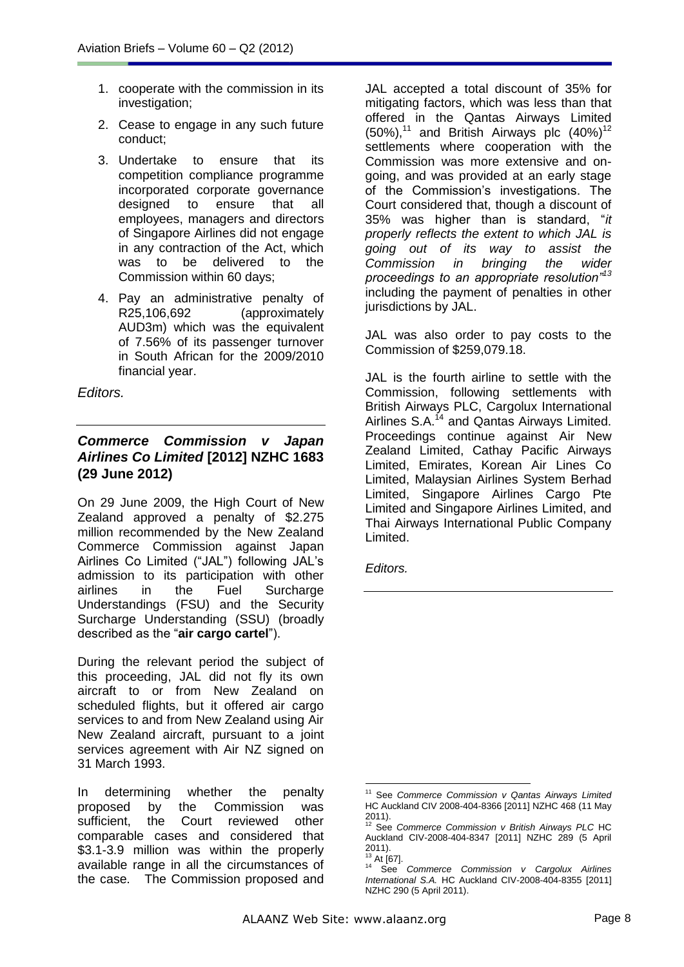- 1. cooperate with the commission in its investigation;
- 2. Cease to engage in any such future conduct;
- 3. Undertake to ensure that its competition compliance programme incorporated corporate governance designed to ensure that all employees, managers and directors of Singapore Airlines did not engage in any contraction of the Act, which was to be delivered to the Commission within 60 days;
- 4. Pay an administrative penalty of R25,106,692 (approximately AUD3m) which was the equivalent of 7.56% of its passenger turnover in South African for the 2009/2010 financial year.

*Editors.* 

# *[Commerce Commission v Japan](http://www.nzlii.org/nz/cases/NZHC/2012/1683.html)  [Airlines Co Limited](http://www.nzlii.org/nz/cases/NZHC/2012/1683.html)* **[2012] NZHC 1683 [\(29 June 2012\)](http://www.nzlii.org/nz/cases/NZHC/2012/1683.html)**

On 29 June 2009, the High Court of New Zealand approved a penalty of \$2.275 million recommended by the New Zealand Commerce Commission against Japan Airlines Co Limited ("JAL") following JAL's admission to its participation with other airlines in the Fuel Surcharge Understandings (FSU) and the Security Surcharge Understanding (SSU) (broadly described as the "**air cargo cartel**").

During the relevant period the subject of this proceeding, JAL did not fly its own aircraft to or from New Zealand on scheduled flights, but it offered air cargo services to and from New Zealand using Air New Zealand aircraft, pursuant to a joint services agreement with Air NZ signed on 31 March 1993.

In determining whether the penalty proposed by the Commission was sufficient, the Court reviewed other comparable cases and considered that \$3.1-3.9 million was within the properly available range in all the circumstances of the case. The Commission proposed and JAL accepted a total discount of 35% for mitigating factors, which was less than that offered in the Qantas Airways Limited  $(50\%)$ ,<sup>11</sup> and British Airways plc  $(40\%)$ <sup>12</sup> settlements where cooperation with the Commission was more extensive and ongoing, and was provided at an early stage of the Commission's investigations. The Court considered that, though a discount of 35% was higher than is standard, "*it properly reflects the extent to which JAL is going out of its way to assist the Commission in bringing the wider proceedings to an appropriate resolution"<sup>13</sup>* including the payment of penalties in other jurisdictions by JAL.

JAL was also order to pay costs to the Commission of \$259,079.18.

JAL is the fourth airline to settle with the Commission, following settlements with British Airways PLC, Cargolux International Airlines S.A.<sup>14</sup> and Qantas Airways Limited. Proceedings continue against Air New Zealand Limited, Cathay Pacific Airways Limited, Emirates, Korean Air Lines Co Limited, Malaysian Airlines System Berhad Limited, Singapore Airlines Cargo Pte Limited and Singapore Airlines Limited, and Thai Airways International Public Company Limited.

*Editors.*

<sup>&</sup>lt;u>.</u> <sup>11</sup> See *Commerce Commission v Qantas Airways Limited* HC Auckland CIV 2008-404-8366 [2011] NZHC 468 (11 May 2011).

See *Commerce Commission v British Airways PLC* HC Auckland CIV-2008-404-8347 [2011] NZHC 289 (5 April 2011).

 $^{13}_{14}$  At [67].

<sup>14</sup> See *Commerce Commission v Cargolux Airlines International S.A.* HC Auckland CIV-2008-404-8355 [2011] NZHC 290 (5 April 2011).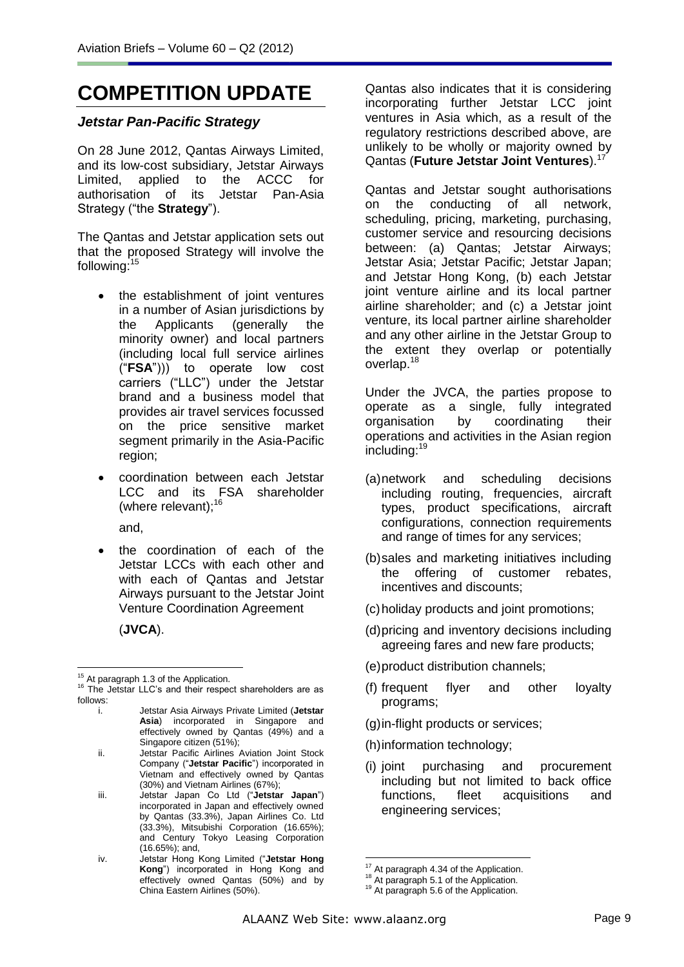# **COMPETITION UPDATE**

### *Jetstar Pan-Pacific Strategy*

On 28 June 2012, Qantas Airways Limited, and its low-cost subsidiary, Jetstar Airways Limited, applied to the ACCC for authorisation of its Jetstar Pan-Asia Strategy ("the **Strategy**").

The Qantas and Jetstar application sets out that the proposed Strategy will involve the following:<sup>15</sup>

- the establishment of joint ventures in a number of Asian jurisdictions by the Applicants (generally the minority owner) and local partners (including local full service airlines ("**FSA**"))) to operate low cost carriers ("LLC") under the Jetstar brand and a business model that provides air travel services focussed on the price sensitive market segment primarily in the Asia-Pacific region;
- coordination between each Jetstar LCC and its FSA shareholder (where relevant): $16$

and,

 the coordination of each of the Jetstar LCCs with each other and with each of Qantas and Jetstar Airways pursuant to the Jetstar Joint Venture Coordination Agreement

(**JVCA**).

Qantas also indicates that it is considering incorporating further Jetstar LCC joint ventures in Asia which, as a result of the regulatory restrictions described above, are unlikely to be wholly or majority owned by Qantas (**Future Jetstar Joint Ventures**).<sup>17</sup>

Qantas and Jetstar sought authorisations on the conducting of all network, scheduling, pricing, marketing, purchasing, customer service and resourcing decisions between: (a) Qantas; Jetstar Airways; Jetstar Asia; Jetstar Pacific; Jetstar Japan; and Jetstar Hong Kong, (b) each Jetstar joint venture airline and its local partner airline shareholder; and (c) a Jetstar joint venture, its local partner airline shareholder and any other airline in the Jetstar Group to the extent they overlap or potentially overlap.<sup>18</sup>

Under the JVCA, the parties propose to operate as a single, fully integrated organisation by coordinating their operations and activities in the Asian region including:<sup>19</sup>

- (a)network and scheduling decisions including routing, frequencies, aircraft types, product specifications, aircraft configurations, connection requirements and range of times for any services;
- (b)sales and marketing initiatives including the offering of customer rebates, incentives and discounts;
- (c)holiday products and joint promotions;
- (d)pricing and inventory decisions including agreeing fares and new fare products;
- (e)product distribution channels;
- (f) frequent flyer and other loyalty programs;
- (g)in-flight products or services;
- (h)information technology;
- (i) joint purchasing and procurement including but not limited to back office functions, fleet acquisitions and engineering services;

 $\overline{a}$  $15<sup>15</sup>$  At paragraph 1.3 of the Application.

 $16$  The Jetstar LLC's and their respect shareholders are as follows:

i. Jetstar Asia Airways Private Limited (**Jetstar**  Asia) incorporated in Singapore and effectively owned by Qantas (49%) and a Singapore citizen (51%);

ii. Jetstar Pacific Airlines Aviation Joint Stock Company ("**Jetstar Pacific**") incorporated in Vietnam and effectively owned by Qantas (30%) and Vietnam Airlines (67%);

iii. Jetstar Japan Co Ltd ("**Jetstar Japan**") incorporated in Japan and effectively owned by Qantas (33.3%), Japan Airlines Co. Ltd (33.3%), Mitsubishi Corporation (16.65%); and Century Tokyo Leasing Corporation (16.65%); and,

iv. Jetstar Hong Kong Limited ("**Jetstar Hong Kong**") incorporated in Hong Kong and effectively owned Qantas (50%) and by China Eastern Airlines (50%).

<sup>1</sup> <sup>17</sup> At paragraph 4.34 of the Application.

<sup>&</sup>lt;sup>18</sup> At paragraph 5.1 of the Application.

<sup>&</sup>lt;sup>19</sup> At paragraph 5.6 of the Application.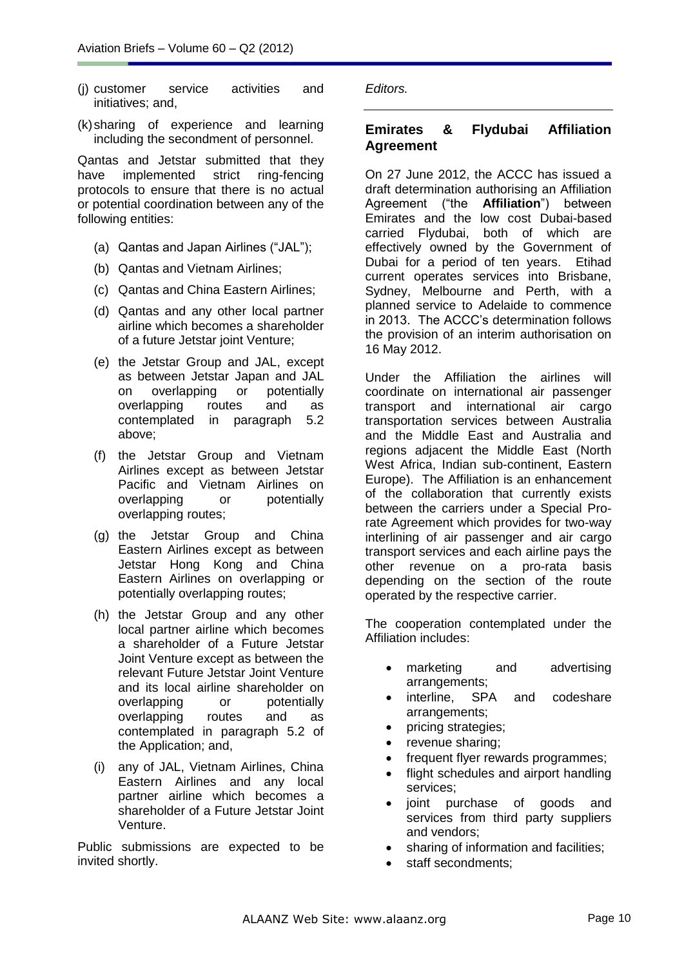- (j) customer service activities and initiatives; and,
- (k)sharing of experience and learning including the secondment of personnel.

Qantas and Jetstar submitted that they have implemented strict ring-fencing protocols to ensure that there is no actual or potential coordination between any of the following entities:

- (a) Qantas and Japan Airlines ("JAL");
- (b) Qantas and Vietnam Airlines;
- (c) Qantas and China Eastern Airlines;
- (d) Qantas and any other local partner airline which becomes a shareholder of a future Jetstar joint Venture;
- (e) the Jetstar Group and JAL, except as between Jetstar Japan and JAL on overlapping or potentially overlapping routes and as contemplated in paragraph 5.2 above;
- (f) the Jetstar Group and Vietnam Airlines except as between Jetstar Pacific and Vietnam Airlines on overlapping or potentially overlapping routes;
- (g) the Jetstar Group and China Eastern Airlines except as between Jetstar Hong Kong and China Eastern Airlines on overlapping or potentially overlapping routes;
- (h) the Jetstar Group and any other local partner airline which becomes a shareholder of a Future Jetstar Joint Venture except as between the relevant Future Jetstar Joint Venture and its local airline shareholder on overlapping or potentially overlapping routes and as contemplated in paragraph 5.2 of the Application; and,
- (i) any of JAL, Vietnam Airlines, China Eastern Airlines and any local partner airline which becomes a shareholder of a Future Jetstar Joint Venture.

Public submissions are expected to be invited shortly.

*Editors.*

# **Emirates & Flydubai Affiliation Agreement**

On 27 June 2012, the ACCC has issued a draft determination authorising an Affiliation Agreement ("the **Affiliation**") between Emirates and the low cost Dubai-based carried Flydubai, both of which are effectively owned by the Government of Dubai for a period of ten years. Etihad current operates services into Brisbane, Sydney, Melbourne and Perth, with a planned service to Adelaide to commence in 2013. The ACCC's determination follows the provision of an interim authorisation on 16 May 2012.

Under the Affiliation the airlines will coordinate on international air passenger transport and international air cargo transportation services between Australia and the Middle East and Australia and regions adjacent the Middle East (North West Africa, Indian sub-continent, Eastern Europe). The Affiliation is an enhancement of the collaboration that currently exists between the carriers under a Special Prorate Agreement which provides for two-way interlining of air passenger and air cargo transport services and each airline pays the other revenue on a pro-rata basis depending on the section of the route operated by the respective carrier.

The cooperation contemplated under the Affiliation includes:

- marketing and advertising arrangements;
- interline, SPA and codeshare arrangements;
- pricing strategies;
- revenue sharing;
- frequent flyer rewards programmes;
- flight schedules and airport handling services;
- joint purchase of goods and services from third party suppliers and vendors;
- sharing of information and facilities;
- staff secondments;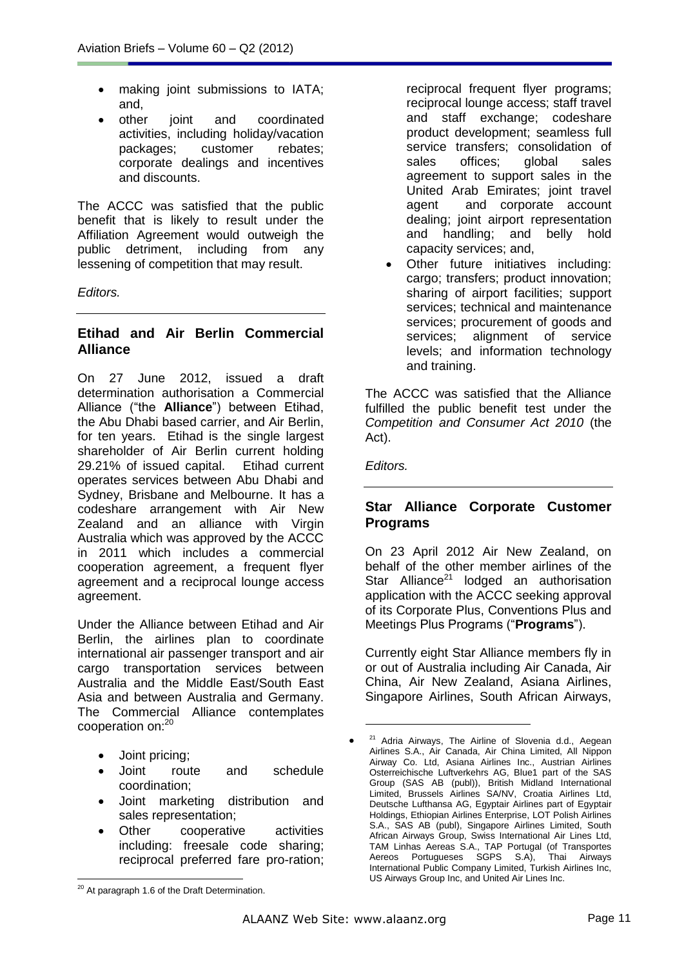- making joint submissions to IATA; and,
- other joint and coordinated activities, including holiday/vacation packages; customer rebates; corporate dealings and incentives and discounts.

The ACCC was satisfied that the public benefit that is likely to result under the Affiliation Agreement would outweigh the public detriment, including from any lessening of competition that may result.

*Editors.*

# **Etihad and Air Berlin Commercial Alliance**

On 27 June 2012, issued a draft determination authorisation a Commercial Alliance ("the **Alliance**") between Etihad, the Abu Dhabi based carrier, and Air Berlin, for ten years. Etihad is the single largest shareholder of Air Berlin current holding 29.21% of issued capital. Etihad current operates services between Abu Dhabi and Sydney, Brisbane and Melbourne. It has a codeshare arrangement with Air New Zealand and an alliance with Virgin Australia which was approved by the ACCC in 2011 which includes a commercial cooperation agreement, a frequent flyer agreement and a reciprocal lounge access agreement.

Under the Alliance between Etihad and Air Berlin, the airlines plan to coordinate international air passenger transport and air cargo transportation services between Australia and the Middle East/South East Asia and between Australia and Germany. The Commercial Alliance contemplates cooperation on:<sup>20</sup>

- Joint pricing;
- Joint route and schedule coordination;
- Joint marketing distribution and sales representation;
- Other cooperative activities including: freesale code sharing; reciprocal preferred fare pro-ration;

reciprocal frequent flyer programs; reciprocal lounge access; staff travel and staff exchange; codeshare product development; seamless full service transfers; consolidation of sales offices; global sales agreement to support sales in the United Arab Emirates; joint travel agent and corporate account dealing; joint airport representation and handling; and belly hold capacity services; and,

 Other future initiatives including: cargo; transfers; product innovation; sharing of airport facilities; support services; technical and maintenance services; procurement of goods and services; alignment of service levels; and information technology and training.

The ACCC was satisfied that the Alliance fulfilled the public benefit test under the *Competition and Consumer Act 2010* (the Act).

*Editors.*

# **Star Alliance Corporate Customer Programs**

On 23 April 2012 Air New Zealand, on behalf of the other member airlines of the Star Alliance<sup>21</sup> lodged an authorisation application with the ACCC seeking approval of its Corporate Plus, Conventions Plus and Meetings Plus Programs ("**Programs**").

Currently eight Star Alliance members fly in or out of Australia including Air Canada, Air China, Air New Zealand, Asiana Airlines, Singapore Airlines, South African Airways,

<u>.</u>

  $20$  At paragraph 1.6 of the Draft Determination.

 $\bullet$ <sup>21</sup> Adria Airways, The Airline of Slovenia d.d., Aegean Airlines S.A., Air Canada, Air China Limited, All Nippon Airway Co. Ltd, Asiana Airlines Inc., Austrian Airlines Osterreichische Luftverkehrs AG, Blue1 part of the SAS Group (SAS AB (publ)), British Midland International Limited, Brussels Airlines SA/NV, Croatia Airlines Ltd, Deutsche Lufthansa AG, Egyptair Airlines part of Egyptair Holdings, Ethiopian Airlines Enterprise, LOT Polish Airlines S.A., SAS AB (publ), Singapore Airlines Limited, South African Airways Group, Swiss International Air Lines Ltd, TAM Linhas Aereas S.A., TAP Portugal (of Transportes Aereos Portugueses SGPS S.A), Thai Airways International Public Company Limited, Turkish Airlines Inc, US Airways Group Inc, and United Air Lines Inc.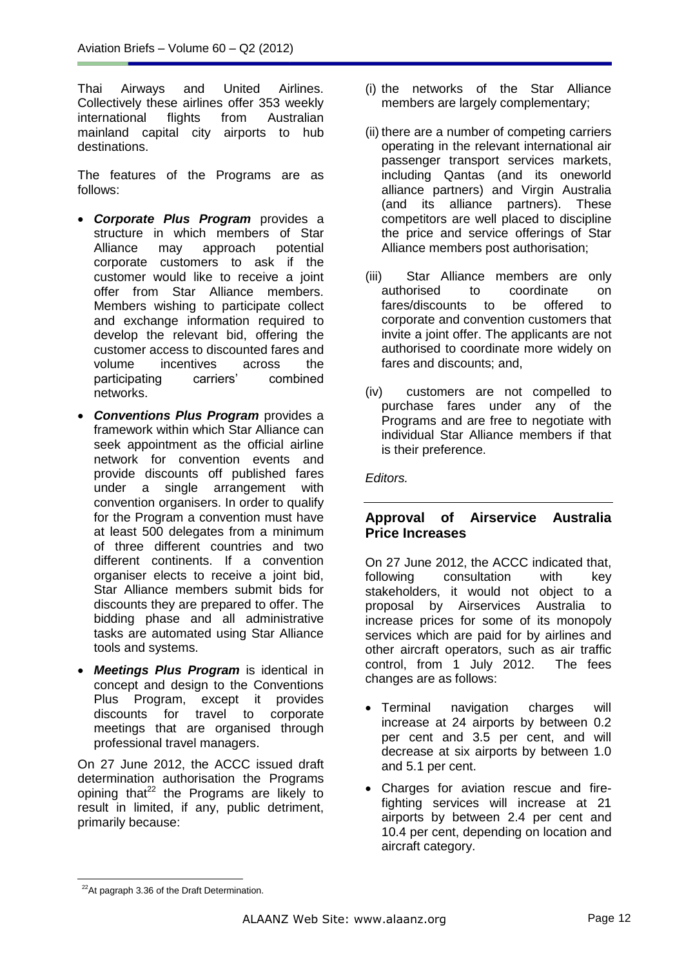Thai Airways and United Airlines. Collectively these airlines offer 353 weekly international flights from Australian mainland capital city airports to hub destinations.

The features of the Programs are as follows:

- *Corporate Plus Program* provides a structure in which members of Star Alliance may approach potential corporate customers to ask if the customer would like to receive a joint offer from Star Alliance members. Members wishing to participate collect and exchange information required to develop the relevant bid, offering the customer access to discounted fares and volume incentives across the participating carriers' combined networks.
- *Conventions Plus Program* provides a framework within which Star Alliance can seek appointment as the official airline network for convention events and provide discounts off published fares under a single arrangement with convention organisers. In order to qualify for the Program a convention must have at least 500 delegates from a minimum of three different countries and two different continents. If a convention organiser elects to receive a joint bid, Star Alliance members submit bids for discounts they are prepared to offer. The bidding phase and all administrative tasks are automated using Star Alliance tools and systems.
- *Meetings Plus Program* is identical in concept and design to the Conventions Plus Program, except it provides discounts for travel to corporate meetings that are organised through professional travel managers.

On 27 June 2012, the ACCC issued draft determination authorisation the Programs opining that $^{22}$  the Programs are likely to result in limited, if any, public detriment, primarily because:

- (i) the networks of the Star Alliance members are largely complementary;
- (ii) there are a number of competing carriers operating in the relevant international air passenger transport services markets, including Qantas (and its oneworld alliance partners) and Virgin Australia (and its alliance partners). These competitors are well placed to discipline the price and service offerings of Star Alliance members post authorisation;
- (iii) Star Alliance members are only authorised to coordinate on fares/discounts to be offered to corporate and convention customers that invite a joint offer. The applicants are not authorised to coordinate more widely on fares and discounts; and,
- (iv) customers are not compelled to purchase fares under any of the Programs and are free to negotiate with individual Star Alliance members if that is their preference.

*Editors.* 

# **Approval of Airservice Australia Price Increases**

On 27 June 2012, the ACCC indicated that, following consultation with key stakeholders, it would not object to a proposal by Airservices Australia to increase prices for some of its monopoly services which are paid for by airlines and other aircraft operators, such as air traffic control, from 1 July 2012. The fees changes are as follows:

- Terminal navigation charges will increase at 24 airports by between 0.2 per cent and 3.5 per cent, and will decrease at six airports by between 1.0 and 5.1 per cent.
- Charges for aviation rescue and firefighting services will increase at 21 airports by between 2.4 per cent and 10.4 per cent, depending on location and aircraft category.

  $22$ At pagraph 3.36 of the Draft Determination.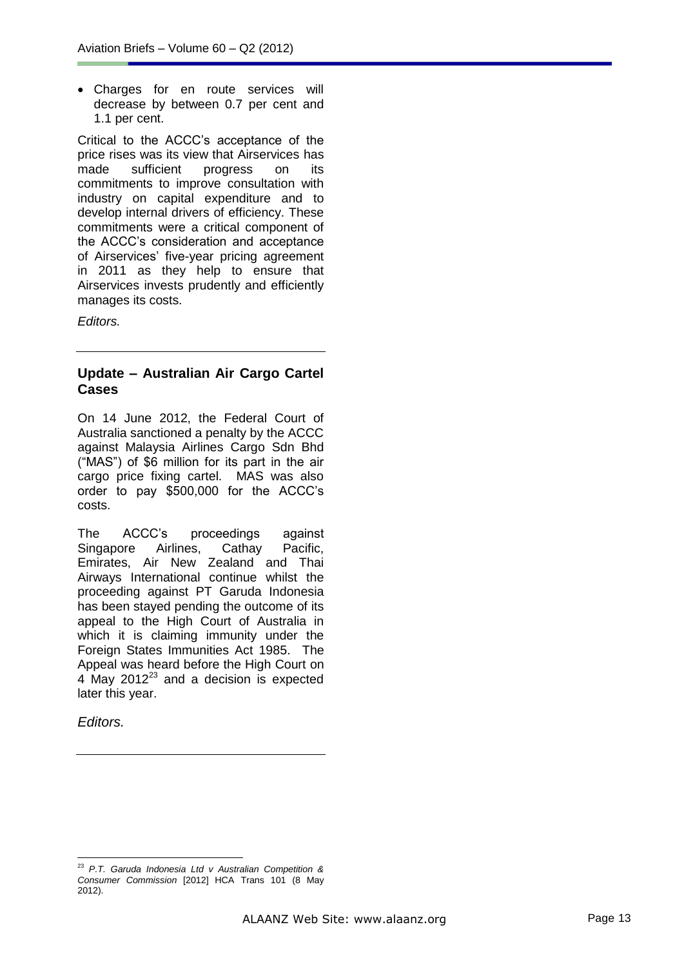Charges for en route services will decrease by between 0.7 per cent and 1.1 per cent.

Critical to the ACCC's acceptance of the price rises was its view that Airservices has made sufficient progress on its commitments to improve consultation with industry on capital expenditure and to develop internal drivers of efficiency. These commitments were a critical component of the ACCC's consideration and acceptance of Airservices' five-year pricing agreement in 2011 as they help to ensure that Airservices invests prudently and efficiently manages its costs.

*Editors.*

### **Update – Australian Air Cargo Cartel Cases**

On 14 June 2012, the Federal Court of Australia sanctioned a penalty by the ACCC against Malaysia Airlines Cargo Sdn Bhd ("MAS") of \$6 million for its part in the air cargo price fixing cartel. MAS was also order to pay \$500,000 for the ACCC's costs.

The ACCC's proceedings against Singapore Airlines, Cathay Pacific, Emirates, Air New Zealand and Thai Airways International continue whilst the proceeding against PT Garuda Indonesia has been stayed pending the outcome of its appeal to the High Court of Australia in which it is claiming immunity under the [Foreign States Immunities Act 1985.](http://www.austlii.edu.au/au/legis/cth/consol_act/fsia1985288/) The Appeal was heard before the High Court on  $4$  May 2012 $^{23}$  and a decision is expected later this year.

*Editors.*

 $\overline{a}$ 

<sup>23</sup> *P.T. Garuda Indonesia Ltd v Australian Competition & Consumer Commission* [2012] HCA Trans 101 (8 May 2012).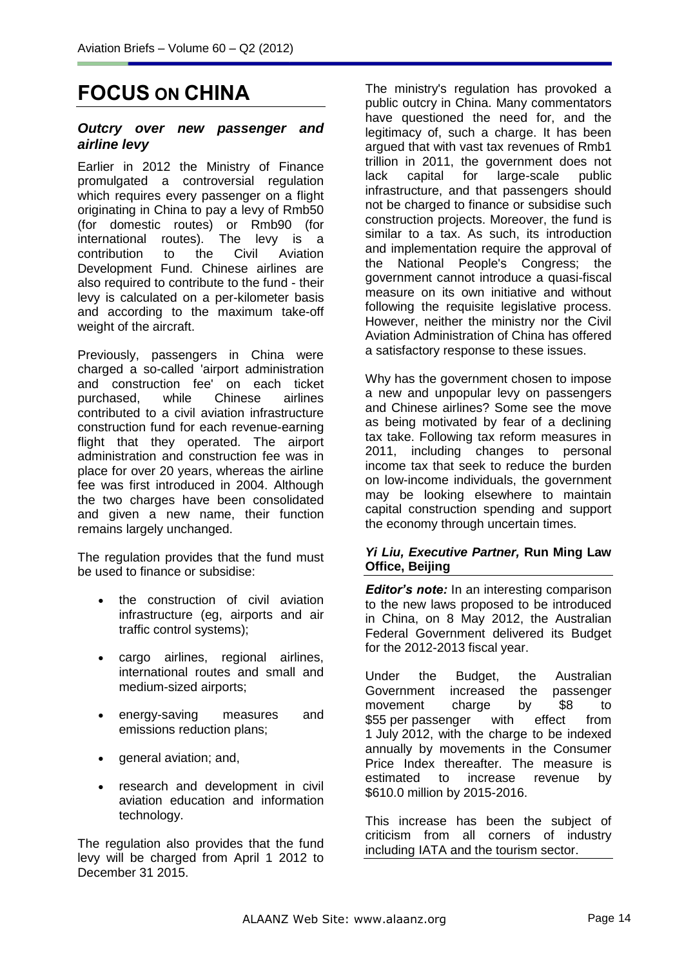# **FOCUS ON CHINA**

### *Outcry over new passenger and airline levy*

Earlier in 2012 the Ministry of Finance promulgated a controversial regulation which requires every passenger on a flight originating in China to pay a levy of Rmb50 (for domestic routes) or Rmb90 (for international routes). The levy is a contribution to the Civil Aviation Development Fund. Chinese airlines are also required to contribute to the fund - their levy is calculated on a per-kilometer basis and according to the maximum take-off weight of the aircraft.

Previously, passengers in China were charged a so-called 'airport administration and construction fee' on each ticket<br>purchased. while Chinese airlines purchased, while Chinese airlines contributed to a civil aviation infrastructure construction fund for each revenue-earning flight that they operated. The airport administration and construction fee was in place for over 20 years, whereas the airline fee was first introduced in 2004. Although the two charges have been consolidated and given a new name, their function remains largely unchanged.

The regulation provides that the fund must be used to finance or subsidise:

- the construction of civil aviation infrastructure (eg, airports and air traffic control systems);
- cargo airlines, regional airlines, international routes and small and medium-sized airports;
- energy-saving measures and emissions reduction plans;
- general aviation; and,
- research and development in civil aviation education and information technology.

The regulation also provides that the fund levy will be charged from April 1 2012 to December 31 2015.

The ministry's regulation has provoked a public outcry in China. Many commentators have questioned the need for, and the legitimacy of, such a charge. It has been argued that with vast tax revenues of Rmb1 trillion in 2011, the government does not<br>lack capital for large-scale public lack capital for large-scale infrastructure, and that passengers should not be charged to finance or subsidise such construction projects. Moreover, the fund is similar to a tax. As such, its introduction and implementation require the approval of the National People's Congress; the government cannot introduce a quasi-fiscal measure on its own initiative and without following the requisite legislative process. However, neither the ministry nor the Civil Aviation Administration of China has offered a satisfactory response to these issues.

Why has the government chosen to impose a new and unpopular levy on passengers and Chinese airlines? Some see the move as being motivated by fear of a declining tax take. Following tax reform measures in 2011, including changes to personal income tax that seek to reduce the burden on low-income individuals, the government may be looking elsewhere to maintain capital construction spending and support the economy through uncertain times.

### *Yi Liu, Executive Partner,* **Run Ming Law Office, Beijing**

*Editor's note:* In an interesting comparison to the new laws proposed to be introduced in China, on 8 May 2012, the Australian Federal Government delivered its Budget for the 2012-2013 fiscal year.

Under the Budget, the Australian Government increased the passenger movement charge by \$8 to \$55 per passenger with effect from 1 July 2012, with the charge to be indexed annually by movements in the Consumer Price Index thereafter. The measure is estimated to increase revenue by \$610.0 million by 2015-2016.

This increase has been the subject of criticism from all corners of industry including IATA and the tourism sector.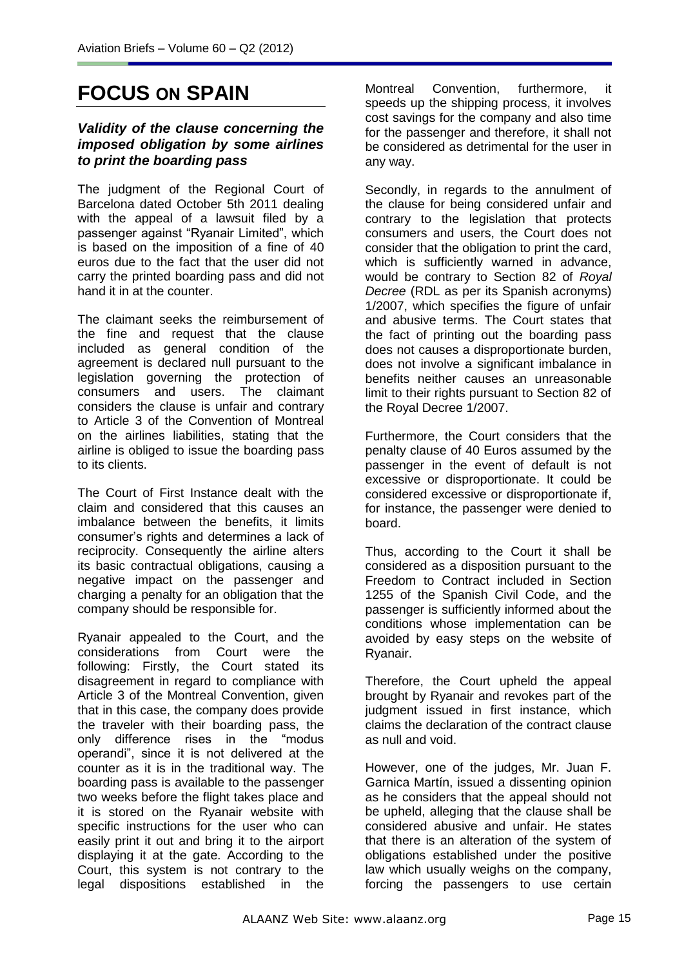# **FOCUS ON SPAIN**

### *Validity of the clause concerning the imposed obligation by some airlines to print the boarding pass*

The judgment of the Regional Court of Barcelona dated October 5th 2011 dealing with the appeal of a lawsuit filed by a passenger against "Ryanair Limited", which is based on the imposition of a fine of 40 euros due to the fact that the user did not carry the printed boarding pass and did not hand it in at the counter.

The claimant seeks the reimbursement of the fine and request that the clause included as general condition of the agreement is declared null pursuant to the legislation governing the protection of<br>consumers and users. The claimant consumers and users. considers the clause is unfair and contrary to Article 3 of the Convention of Montreal on the airlines liabilities, stating that the airline is obliged to issue the boarding pass to its clients.

The Court of First Instance dealt with the claim and considered that this causes an imbalance between the benefits, it limits consumer's rights and determines a lack of reciprocity. Consequently the airline alters its basic contractual obligations, causing a negative impact on the passenger and charging a penalty for an obligation that the company should be responsible for.

Ryanair appealed to the Court, and the considerations from Court were the following: Firstly, the Court stated its disagreement in regard to compliance with Article 3 of the Montreal Convention, given that in this case, the company does provide the traveler with their boarding pass, the only difference rises in the "modus operandi", since it is not delivered at the counter as it is in the traditional way. The boarding pass is available to the passenger two weeks before the flight takes place and it is stored on the Ryanair website with specific instructions for the user who can easily print it out and bring it to the airport displaying it at the gate. According to the Court, this system is not contrary to the legal dispositions established in the

Montreal Convention, furthermore, it speeds up the shipping process, it involves cost savings for the company and also time for the passenger and therefore, it shall not be considered as detrimental for the user in any way.

Secondly, in regards to the annulment of the clause for being considered unfair and contrary to the legislation that protects consumers and users, the Court does not consider that the obligation to print the card, which is sufficiently warned in advance, would be contrary to Section 82 of *Royal Decree* (RDL as per its Spanish acronyms) 1/2007, which specifies the figure of unfair and abusive terms. The Court states that the fact of printing out the boarding pass does not causes a disproportionate burden, does not involve a significant imbalance in benefits neither causes an unreasonable limit to their rights pursuant to Section 82 of the Royal Decree 1/2007.

Furthermore, the Court considers that the penalty clause of 40 Euros assumed by the passenger in the event of default is not excessive or disproportionate. It could be considered excessive or disproportionate if, for instance, the passenger were denied to board.

Thus, according to the Court it shall be considered as a disposition pursuant to the Freedom to Contract included in Section 1255 of the Spanish Civil Code, and the passenger is sufficiently informed about the conditions whose implementation can be avoided by easy steps on the website of Ryanair.

Therefore, the Court upheld the appeal brought by Ryanair and revokes part of the judgment issued in first instance, which claims the declaration of the contract clause as null and void.

However, one of the judges, Mr. Juan F. Garnica Martín, issued a dissenting opinion as he considers that the appeal should not be upheld, alleging that the clause shall be considered abusive and unfair. He states that there is an alteration of the system of obligations established under the positive law which usually weighs on the company, forcing the passengers to use certain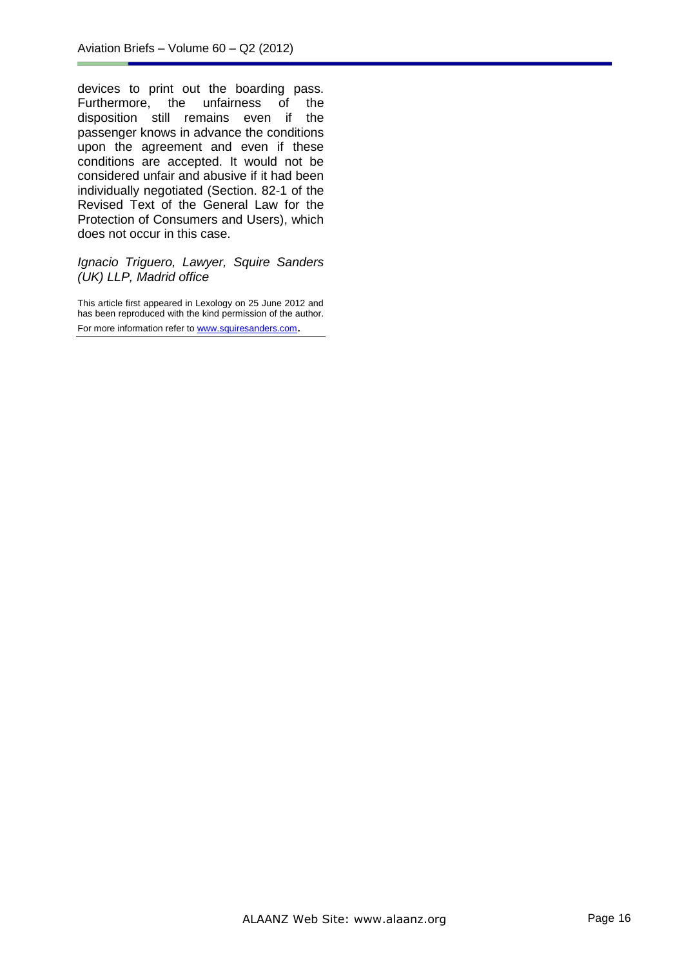devices to print out the boarding pass.<br>Furthermore, the unfairness of the Furthermore, the unfairness of disposition still remains even if the passenger knows in advance the conditions upon the agreement and even if these conditions are accepted. It would not be considered unfair and abusive if it had been individually negotiated (Section. 82-1 of the Revised Text of the General Law for the Protection of Consumers and Users), which does not occur in this case.

#### *Ignacio Triguero, Lawyer, Squire Sanders (UK) LLP, Madrid office*

This article first appeared in Lexology on 25 June 2012 and has been reproduced with the kind permission of the author. For more information refer t[o www.squiresanders.com](http://www.squiresanders.com/).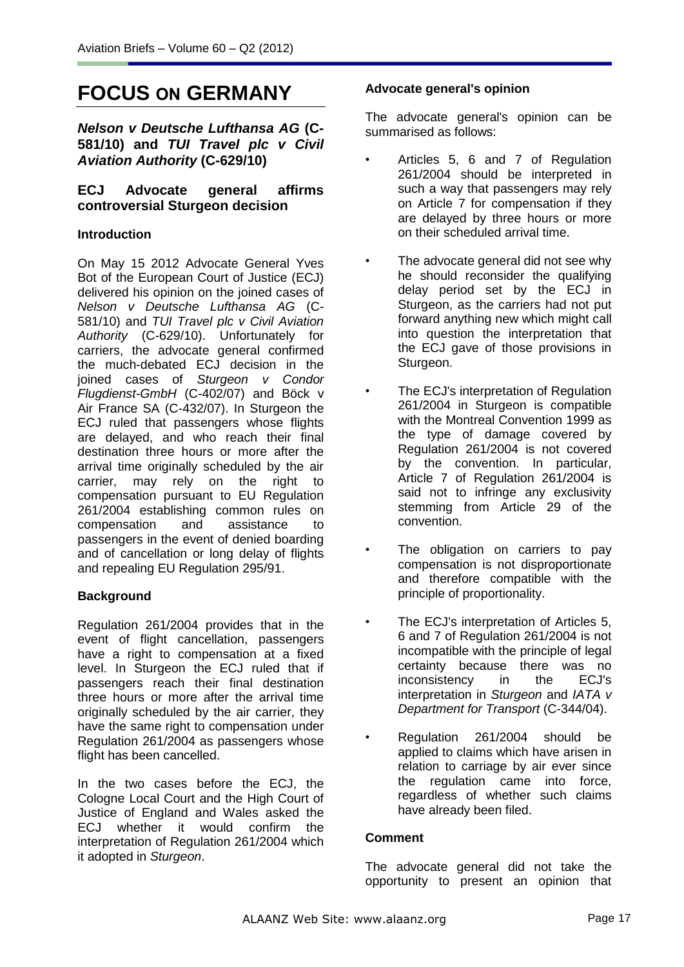# **FOCUS ON GERMANY**

*Nelson v Deutsche Lufthansa AG* **(C-581/10) and** *TUI Travel plc v Civil Aviation Authority* **(C-629/10)**

# **ECJ Advocate general affirms controversial Sturgeon decision**

### **Introduction**

On May 15 2012 Advocate General Yves Bot of the European Court of Justice (ECJ) delivered his opinion on the joined cases of *Nelson v Deutsche Lufthansa AG* (C-581/10) and *TUI Travel plc v Civil Aviation Authority* (C-629/10). Unfortunately for carriers, the advocate general confirmed the much-debated ECJ decision in the joined cases of *Sturgeon v Condor Flugdienst-GmbH* (C-402/07) and Böck v Air France SA (C-432/07). In Sturgeon the ECJ ruled that passengers whose flights are delayed, and who reach their final destination three hours or more after the arrival time originally scheduled by the air carrier, may rely on the right to compensation pursuant to EU Regulation 261/2004 establishing common rules on compensation and assistance to passengers in the event of denied boarding and of cancellation or long delay of flights and repealing EU Regulation 295/91.

# **Background**

Regulation 261/2004 provides that in the event of flight cancellation, passengers have a right to compensation at a fixed level. In Sturgeon the ECJ ruled that if passengers reach their final destination three hours or more after the arrival time originally scheduled by the air carrier, they have the same right to compensation under Regulation 261/2004 as passengers whose flight has been cancelled.

In the two cases before the ECJ, the Cologne Local Court and the High Court of Justice of England and Wales asked the ECJ whether it would confirm the interpretation of Regulation 261/2004 which it adopted in *Sturgeon*.

### **Advocate general's opinion**

The advocate general's opinion can be summarised as follows:

- Articles 5, 6 and 7 of Regulation 261/2004 should be interpreted in such a way that passengers may rely on Article 7 for compensation if they are delayed by three hours or more on their scheduled arrival time.
- The advocate general did not see why he should reconsider the qualifying delay period set by the ECJ in Sturgeon, as the carriers had not put forward anything new which might call into question the interpretation that the ECJ gave of those provisions in Sturgeon.
- The ECJ's interpretation of Regulation 261/2004 in Sturgeon is compatible with the Montreal Convention 1999 as the type of damage covered by Regulation 261/2004 is not covered by the convention. In particular, Article 7 of Regulation 261/2004 is said not to infringe any exclusivity stemming from Article 29 of the convention.
- The obligation on carriers to pay compensation is not disproportionate and therefore compatible with the principle of proportionality.
- The ECJ's interpretation of Articles 5, 6 and 7 of Regulation 261/2004 is not incompatible with the principle of legal certainty because there was no inconsistency in the ECJ's interpretation in *Sturgeon* and *IATA v Department for Transport* (C-344/04).
- Regulation 261/2004 should be applied to claims which have arisen in relation to carriage by air ever since the regulation came into force, regardless of whether such claims have already been filed.

### **Comment**

The advocate general did not take the opportunity to present an opinion that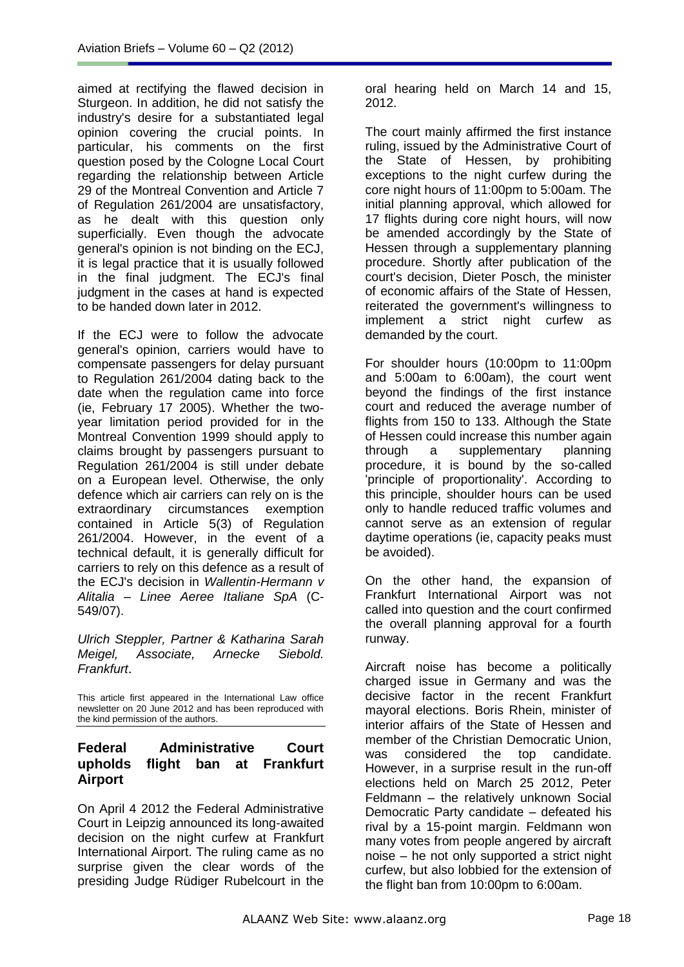aimed at rectifying the flawed decision in Sturgeon. In addition, he did not satisfy the industry's desire for a substantiated legal opinion covering the crucial points. In particular, his comments on the first question posed by the Cologne Local Court regarding the relationship between Article 29 of the Montreal Convention and Article 7 of Regulation 261/2004 are unsatisfactory, as he dealt with this question only superficially. Even though the advocate general's opinion is not binding on the ECJ, it is legal practice that it is usually followed in the final judgment. The ECJ's final judgment in the cases at hand is expected to be handed down later in 2012.

If the ECJ were to follow the advocate general's opinion, carriers would have to compensate passengers for delay pursuant to Regulation 261/2004 dating back to the date when the regulation came into force (ie, February 17 2005). Whether the twoyear limitation period provided for in the Montreal Convention 1999 should apply to claims brought by passengers pursuant to Regulation 261/2004 is still under debate on a European level. Otherwise, the only defence which air carriers can rely on is the extraordinary circumstances exemption contained in Article 5(3) of Regulation 261/2004. However, in the event of a technical default, it is generally difficult for carriers to rely on this defence as a result of the ECJ's decision in *Wallentin-Hermann v Alitalia – Linee Aeree Italiane SpA* (C-549/07).

*Ulrich Steppler, Partner & Katharina Sarah Meigel, Associate, Arnecke Siebold. Frankfurt*.

This article first appeared in the International Law office newsletter on 20 June 2012 and has been reproduced with the kind permission of the authors.

# **Federal Administrative Court upholds flight ban at Frankfurt Airport**

On April 4 2012 the Federal Administrative Court in Leipzig announced its long-awaited decision on the night curfew at Frankfurt International Airport. The ruling came as no surprise given the clear words of the presiding Judge Rüdiger Rubelcourt in the

oral hearing held on March 14 and 15, 2012.

The court mainly affirmed the first instance ruling, issued by the Administrative Court of the State of Hessen, by prohibiting exceptions to the night curfew during the core night hours of 11:00pm to 5:00am. The initial planning approval, which allowed for 17 flights during core night hours, will now be amended accordingly by the State of Hessen through a supplementary planning procedure. Shortly after publication of the court's decision, Dieter Posch, the minister of economic affairs of the State of Hessen, reiterated the government's willingness to implement a strict night curfew as demanded by the court.

For shoulder hours (10:00pm to 11:00pm and 5:00am to 6:00am), the court went beyond the findings of the first instance court and reduced the average number of flights from 150 to 133. Although the State of Hessen could increase this number again through a supplementary planning procedure, it is bound by the so-called 'principle of proportionality'. According to this principle, shoulder hours can be used only to handle reduced traffic volumes and cannot serve as an extension of regular daytime operations (ie, capacity peaks must be avoided).

On the other hand, the expansion of Frankfurt International Airport was not called into question and the court confirmed the overall planning approval for a fourth runway.

Aircraft noise has become a politically charged issue in Germany and was the decisive factor in the recent Frankfurt mayoral elections. Boris Rhein, minister of interior affairs of the State of Hessen and member of the Christian Democratic Union, was considered the top candidate. However, in a surprise result in the run-off elections held on March 25 2012, Peter Feldmann – the relatively unknown Social Democratic Party candidate – defeated his rival by a 15-point margin. Feldmann won many votes from people angered by aircraft noise – he not only supported a strict night curfew, but also lobbied for the extension of the flight ban from 10:00pm to 6:00am.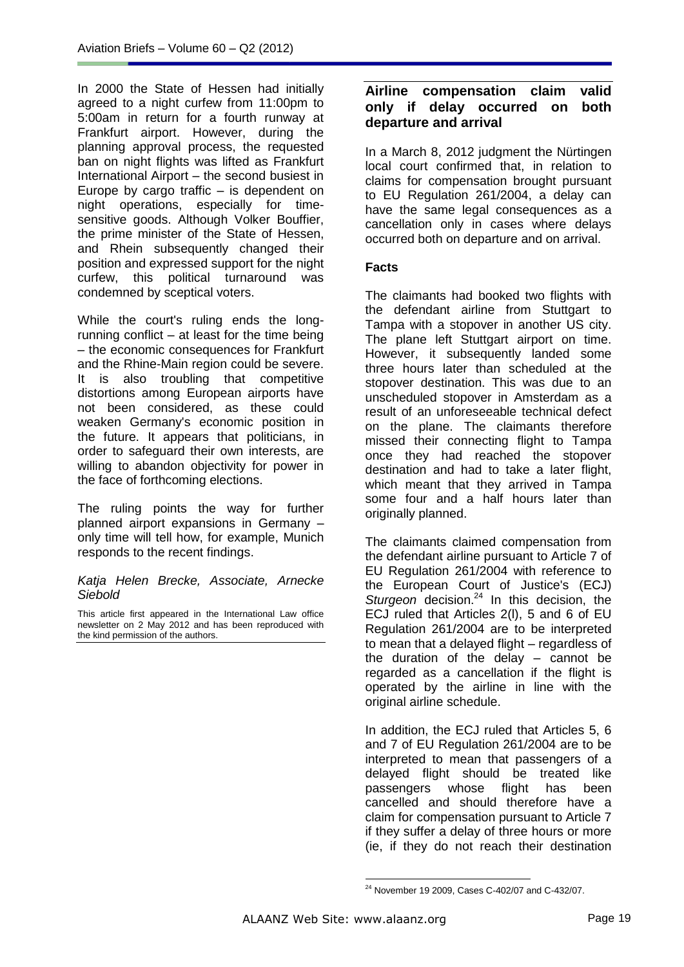In 2000 the State of Hessen had initially agreed to a night curfew from 11:00pm to 5:00am in return for a fourth runway at Frankfurt airport. However, during the planning approval process, the requested ban on night flights was lifted as Frankfurt International Airport – the second busiest in Europe by cargo traffic – is dependent on night operations, especially for timesensitive goods. Although Volker Bouffier, the prime minister of the State of Hessen, and Rhein subsequently changed their position and expressed support for the night curfew, this political turnaround was condemned by sceptical voters.

While the court's ruling ends the longrunning conflict – at least for the time being – the economic consequences for Frankfurt and the Rhine-Main region could be severe. It is also troubling that competitive distortions among European airports have not been considered, as these could weaken Germany's economic position in the future. It appears that politicians, in order to safeguard their own interests, are willing to abandon objectivity for power in the face of forthcoming elections.

The ruling points the way for further planned airport expansions in Germany – only time will tell how, for example, Munich responds to the recent findings.

### *Katja Helen Brecke, Associate, Arnecke Siebold*

This article first appeared in the International Law office newsletter on 2 May 2012 and has been reproduced with the kind permission of the authors.

# **Airline compensation claim valid only if delay occurred on both departure and arrival**

In a March 8, 2012 judgment the Nürtingen local court confirmed that, in relation to claims for compensation brought pursuant to EU Regulation 261/2004, a delay can have the same legal consequences as a cancellation only in cases where delays occurred both on departure and on arrival.

### **Facts**

The claimants had booked two flights with the defendant airline from Stuttgart to Tampa with a stopover in another US city. The plane left Stuttgart airport on time. However, it subsequently landed some three hours later than scheduled at the stopover destination. This was due to an unscheduled stopover in Amsterdam as a result of an unforeseeable technical defect on the plane. The claimants therefore missed their connecting flight to Tampa once they had reached the stopover destination and had to take a later flight, which meant that they arrived in Tampa some four and a half hours later than originally planned.

The claimants claimed compensation from the defendant airline pursuant to Article 7 of EU Regulation 261/2004 with reference to the European Court of Justice's (ECJ) Sturgeon decision.<sup>24</sup> In this decision, the ECJ ruled that Articles 2(l), 5 and 6 of EU Regulation 261/2004 are to be interpreted to mean that a delayed flight – regardless of the duration of the delay – cannot be regarded as a cancellation if the flight is operated by the airline in line with the original airline schedule.

In addition, the ECJ ruled that Articles 5, 6 and 7 of EU Regulation 261/2004 are to be interpreted to mean that passengers of a delayed flight should be treated like passengers whose flight has been cancelled and should therefore have a claim for compensation pursuant to Article 7 if they suffer a delay of three hours or more (ie, if they do not reach their destination

<sup>-</sup><sup>24</sup> November 19 2009, Cases C-402/07 and C-432/07.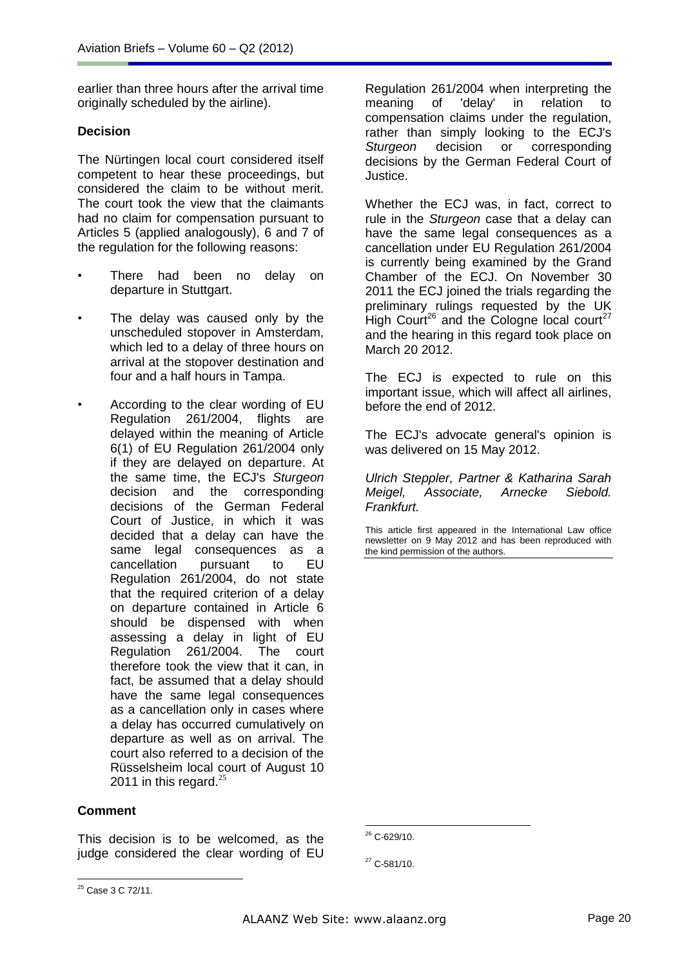earlier than three hours after the arrival time originally scheduled by the airline).

### **Decision**

The Nürtingen local court considered itself competent to hear these proceedings, but considered the claim to be without merit. The court took the view that the claimants had no claim for compensation pursuant to Articles 5 (applied analogously), 6 and 7 of the regulation for the following reasons:

- There had been no delay on departure in Stuttgart.
- The delay was caused only by the unscheduled stopover in Amsterdam, which led to a delay of three hours on arrival at the stopover destination and four and a half hours in Tampa.
- According to the clear wording of EU Regulation 261/2004, flights are delayed within the meaning of Article 6(1) of EU Regulation 261/2004 only if they are delayed on departure. At the same time, the ECJ's *Sturgeon* decision and the corresponding decisions of the German Federal Court of Justice, in which it was decided that a delay can have the same legal consequences as a cancellation pursuant to EU Regulation 261/2004, do not state that the required criterion of a delay on departure contained in Article 6 should be dispensed with when assessing a delay in light of EU Regulation 261/2004. The court therefore took the view that it can, in fact, be assumed that a delay should have the same legal consequences as a cancellation only in cases where a delay has occurred cumulatively on departure as well as on arrival. The court also referred to a decision of the Rüsselsheim local court of August 10 2011 in this regard. $^{25}$

### **Comment**

This decision is to be welcomed, as the judge considered the clear wording of EU

Regulation 261/2004 when interpreting the meaning of 'delay' in relation to compensation claims under the regulation, rather than simply looking to the ECJ's *Sturgeon* decision or corresponding decisions by the German Federal Court of Justice.

Whether the ECJ was, in fact, correct to rule in the *Sturgeon* case that a delay can have the same legal consequences as a cancellation under EU Regulation 261/2004 is currently being examined by the Grand Chamber of the ECJ. On November 30 2011 the ECJ joined the trials regarding the preliminary rulings requested by the UK High Court<sup>26</sup> and the Cologne local court<sup>27</sup> and the hearing in this regard took place on March 20 2012.

The ECJ is expected to rule on this important issue, which will affect all airlines, before the end of 2012.

The ECJ's advocate general's opinion is was delivered on 15 May 2012.

*Ulrich Steppler, Partner & Katharina Sarah Meigel, Associate, Arnecke Siebold. Frankfurt.*

This article first appeared in the International Law office newsletter on 9 May 2012 and has been reproduced with the kind permission of the authors.

<u>.</u>  $26$  C-629/10.

<sup>27</sup> C-581/10.

  $25$  Case 3 C 72/11.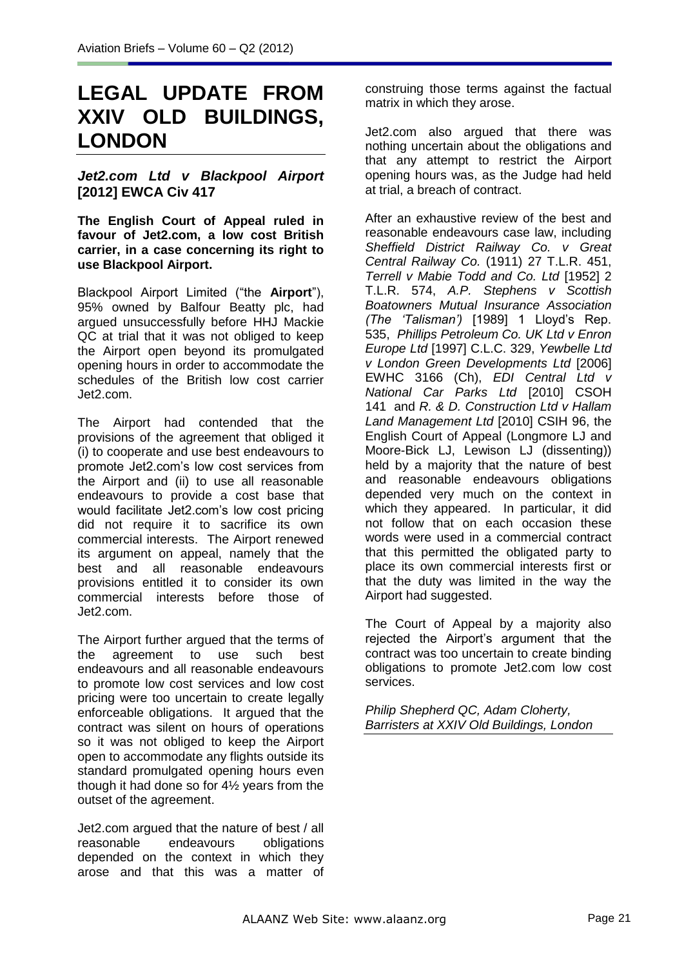# **LEGAL UPDATE FROM XXIV OLD BUILDINGS, LONDON**

# *Jet2.com Ltd v Blackpool Airport* **[2012] EWCA Civ 417**

**The English Court of Appeal ruled in favour of Jet2.com, a low cost British carrier, in a case concerning its right to use Blackpool Airport.**

Blackpool Airport Limited ("the **Airport**"), 95% owned by Balfour Beatty plc, had argued unsuccessfully before HHJ Mackie QC at trial that it was not obliged to keep the Airport open beyond its promulgated opening hours in order to accommodate the schedules of the British low cost carrier Jet2.com.

The Airport had contended that the provisions of the agreement that obliged it (i) to cooperate and use best endeavours to promote Jet2.com's low cost services from the Airport and (ii) to use all reasonable endeavours to provide a cost base that would facilitate Jet2.com's low cost pricing did not require it to sacrifice its own commercial interests. The Airport renewed its argument on appeal, namely that the best and all reasonable endeavours provisions entitled it to consider its own commercial interests before those of Jet2.com.

The Airport further argued that the terms of the agreement to use such best endeavours and all reasonable endeavours to promote low cost services and low cost pricing were too uncertain to create legally enforceable obligations. It argued that the contract was silent on hours of operations so it was not obliged to keep the Airport open to accommodate any flights outside its standard promulgated opening hours even though it had done so for 4½ years from the outset of the agreement.

Jet2.com argued that the nature of best / all reasonable endeavours obligations depended on the context in which they arose and that this was a matter of construing those terms against the factual matrix in which they arose.

Jet2.com also argued that there was nothing uncertain about the obligations and that any attempt to restrict the Airport opening hours was, as the Judge had held at trial, a breach of contract.

After an exhaustive review of the best and reasonable endeavours case law, including *Sheffield District Railway Co. v Great Central Railway Co.* (1911) 27 T.L.R. 451, *Terrell v Mabie Todd and Co. Ltd* [1952] 2 T.L.R. 574, *A.P. Stephens v Scottish Boatowners Mutual Insurance Association (The 'Talisman')* [1989] 1 Lloyd's Rep. 535, *Phillips Petroleum Co. UK Ltd v Enron Europe Ltd* [1997] C.L.C. 329, *Yewbelle Ltd v London Green Developments Ltd* [2006] EWHC 3166 (Ch), *EDI Central Ltd v National Car Parks Ltd* [2010] CSOH 141 and *R. & D. Construction Ltd v Hallam Land Management Ltd* [2010] CSIH 96, the English Court of Appeal (Longmore LJ and Moore-Bick LJ, Lewison LJ (dissenting)) held by a majority that the nature of best and reasonable endeavours obligations depended very much on the context in which they appeared. In particular, it did not follow that on each occasion these words were used in a commercial contract that this permitted the obligated party to place its own commercial interests first or that the duty was limited in the way the Airport had suggested.

The Court of Appeal by a majority also rejected the Airport's argument that the contract was too uncertain to create binding obligations to promote Jet2.com low cost services.

*Philip Shepherd QC, Adam Cloherty, Barristers at XXIV Old Buildings, London*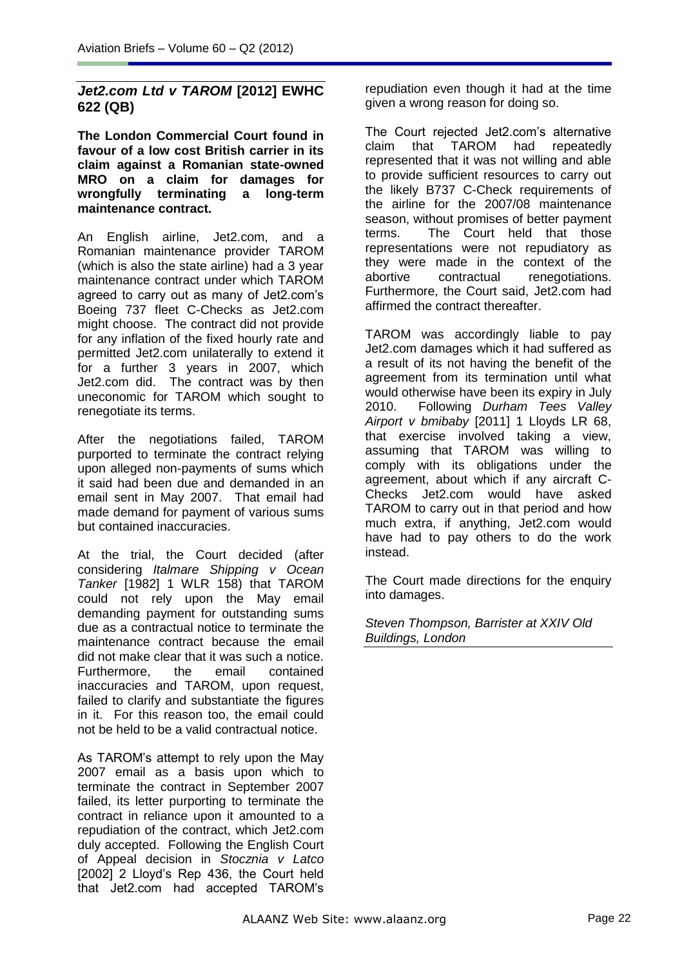# *Jet2.com Ltd v TAROM* **[2012] EWHC 622 (QB)**

**The London Commercial Court found in favour of a low cost British carrier in its claim against a Romanian state-owned MRO on a claim for damages for wrongfully terminating a long-term maintenance contract.** 

An English airline, Jet2.com, and a Romanian maintenance provider TAROM (which is also the state airline) had a 3 year maintenance contract under which TAROM agreed to carry out as many of Jet2.com's Boeing 737 fleet C-Checks as Jet2.com might choose. The contract did not provide for any inflation of the fixed hourly rate and permitted Jet2.com unilaterally to extend it for a further 3 years in 2007, which Jet2.com did. The contract was by then uneconomic for TAROM which sought to renegotiate its terms.

After the negotiations failed, TAROM purported to terminate the contract relying upon alleged non-payments of sums which it said had been due and demanded in an email sent in May 2007. That email had made demand for payment of various sums but contained inaccuracies.

At the trial, the Court decided (after considering *Italmare Shipping v Ocean Tanker* [1982] 1 WLR 158) that TAROM could not rely upon the May email demanding payment for outstanding sums due as a contractual notice to terminate the maintenance contract because the email did not make clear that it was such a notice. Furthermore, the email contained inaccuracies and TAROM, upon request, failed to clarify and substantiate the figures in it. For this reason too, the email could not be held to be a valid contractual notice.

As TAROM's attempt to rely upon the May 2007 email as a basis upon which to terminate the contract in September 2007 failed, its letter purporting to terminate the contract in reliance upon it amounted to a repudiation of the contract, which Jet2.com duly accepted. Following the English Court of Appeal decision in *Stocznia v Latco* [2002] 2 Lloyd's Rep 436, the Court held that Jet2.com had accepted TAROM's

repudiation even though it had at the time given a wrong reason for doing so.

The Court rejected Jet2.com's alternative claim that TAROM had repeatedly represented that it was not willing and able to provide sufficient resources to carry out the likely B737 C-Check requirements of the airline for the 2007/08 maintenance season, without promises of better payment terms. The Court held that those representations were not repudiatory as they were made in the context of the abortive contractual renegotiations. Furthermore, the Court said, Jet2.com had affirmed the contract thereafter.

TAROM was accordingly liable to pay Jet2.com damages which it had suffered as a result of its not having the benefit of the agreement from its termination until what would otherwise have been its expiry in July 2010. Following *Durham Tees Valley Airport v bmibaby* [2011] 1 Lloyds LR 68, that exercise involved taking a view, assuming that TAROM was willing to comply with its obligations under the agreement, about which if any aircraft C-Checks Jet2.com would have asked TAROM to carry out in that period and how much extra, if anything, Jet2.com would have had to pay others to do the work instead.

The Court made directions for the enquiry into damages.

*Steven Thompson, Barrister at XXIV Old Buildings, London*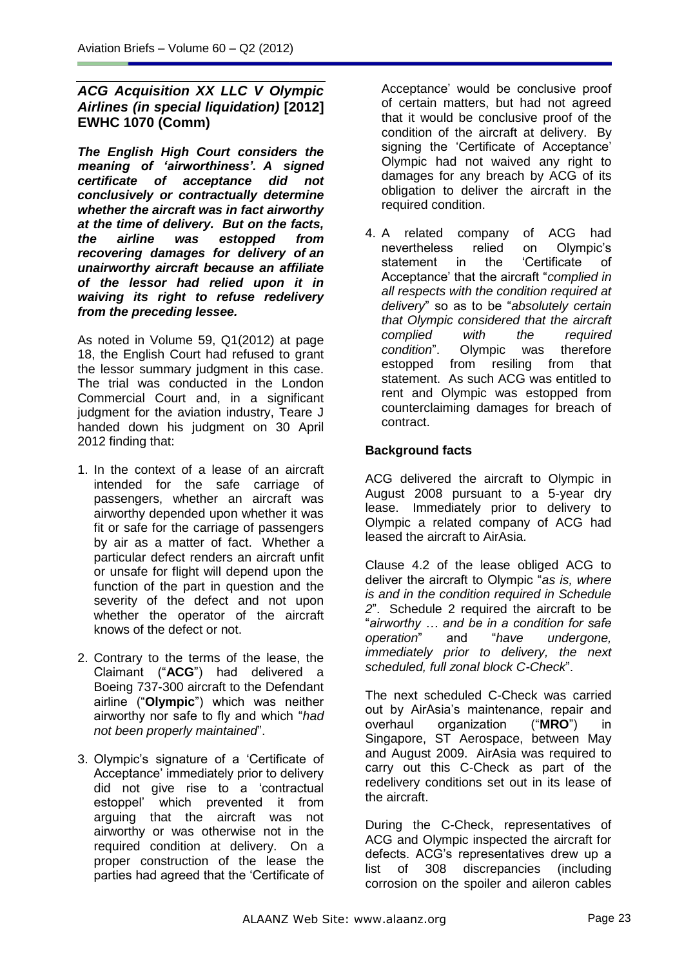# *ACG Acquisition XX LLC V Olympic Airlines (in special liquidation)* **[2012] EWHC 1070 (Comm)**

*The English High Court considers the meaning of 'airworthiness'. A signed certificate of acceptance did not conclusively or contractually determine whether the aircraft was in fact airworthy at the time of delivery. But on the facts, the airline was estopped from recovering damages for delivery of an unairworthy aircraft because an affiliate of the lessor had relied upon it in waiving its right to refuse redelivery from the preceding lessee.*

As noted in Volume 59, Q1(2012) at page 18, the English Court had refused to grant the lessor summary judgment in this case. The trial was conducted in the London Commercial Court and, in a significant judgment for the aviation industry, Teare J handed down his judgment on 30 April 2012 finding that:

- 1. In the context of a lease of an aircraft intended for the safe carriage of passengers, whether an aircraft was airworthy depended upon whether it was fit or safe for the carriage of passengers by air as a matter of fact. Whether a particular defect renders an aircraft unfit or unsafe for flight will depend upon the function of the part in question and the severity of the defect and not upon whether the operator of the aircraft knows of the defect or not.
- 2. Contrary to the terms of the lease, the Claimant ("**ACG**") had delivered a Boeing 737-300 aircraft to the Defendant airline ("**Olympic**") which was neither airworthy nor safe to fly and which "*had not been properly maintained*".
- 3. Olympic's signature of a 'Certificate of Acceptance' immediately prior to delivery did not give rise to a 'contractual estoppel' which prevented it from arguing that the aircraft was not airworthy or was otherwise not in the required condition at delivery. On a proper construction of the lease the parties had agreed that the 'Certificate of

Acceptance' would be conclusive proof of certain matters, but had not agreed that it would be conclusive proof of the condition of the aircraft at delivery. By signing the 'Certificate of Acceptance' Olympic had not waived any right to damages for any breach by ACG of its obligation to deliver the aircraft in the required condition.

4. A related company of ACG had nevertheless relied on Olympic's statement in the 'Certificate of Acceptance' that the aircraft "*complied in all respects with the condition required at delivery*" so as to be "*absolutely certain that Olympic considered that the aircraft complied with the required condition*". Olympic was estopped from resiling from that statement. As such ACG was entitled to rent and Olympic was estopped from counterclaiming damages for breach of contract.

# **Background facts**

ACG delivered the aircraft to Olympic in August 2008 pursuant to a 5-year dry lease. Immediately prior to delivery to Olympic a related company of ACG had leased the aircraft to AirAsia.

Clause 4.2 of the lease obliged ACG to deliver the aircraft to Olympic "*as is, where is and in the condition required in Schedule 2*". Schedule 2 required the aircraft to be "*airworthy … and be in a condition for safe operation*" and "*have undergone, immediately prior to delivery, the next scheduled, full zonal block C-Check*".

The next scheduled C-Check was carried out by AirAsia's maintenance, repair and overhaul organization ("**MRO**") in Singapore, ST Aerospace, between May and August 2009. AirAsia was required to carry out this C-Check as part of the redelivery conditions set out in its lease of the aircraft.

During the C-Check, representatives of ACG and Olympic inspected the aircraft for defects. ACG's representatives drew up a list of 308 discrepancies (including corrosion on the spoiler and aileron cables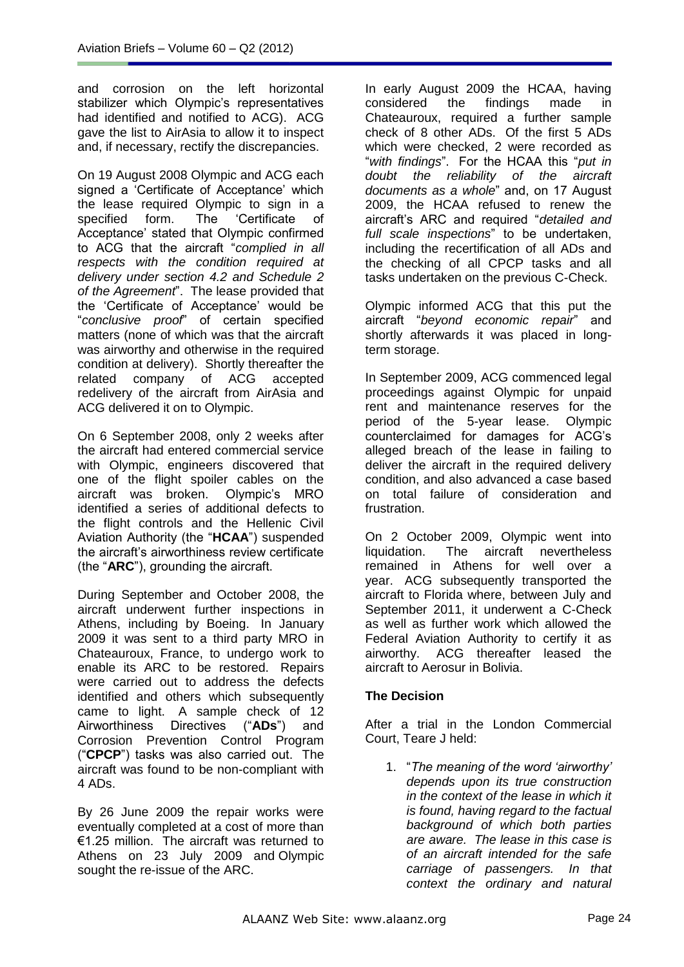and corrosion on the left horizontal stabilizer which Olympic's representatives had identified and notified to ACG). ACG gave the list to AirAsia to allow it to inspect and, if necessary, rectify the discrepancies.

On 19 August 2008 Olympic and ACG each signed a 'Certificate of Acceptance' which the lease required Olympic to sign in a<br>specified form. The 'Certificate of specified form. The 'Certificate of Acceptance' stated that Olympic confirmed to ACG that the aircraft "*complied in all respects with the condition required at delivery under section 4.2 and Schedule 2 of the Agreement*". The lease provided that the 'Certificate of Acceptance' would be "*conclusive proof*" of certain specified matters (none of which was that the aircraft was airworthy and otherwise in the required condition at delivery). Shortly thereafter the related company of ACG accepted redelivery of the aircraft from AirAsia and ACG delivered it on to Olympic.

On 6 September 2008, only 2 weeks after the aircraft had entered commercial service with Olympic, engineers discovered that one of the flight spoiler cables on the aircraft was broken. Olympic's MRO identified a series of additional defects to the flight controls and the Hellenic Civil Aviation Authority (the "**HCAA**") suspended the aircraft's airworthiness review certificate (the "**ARC**"), grounding the aircraft.

During September and October 2008, the aircraft underwent further inspections in Athens, including by Boeing. In January 2009 it was sent to a third party MRO in Chateauroux, France, to undergo work to enable its ARC to be restored. Repairs were carried out to address the defects identified and others which subsequently came to light. A sample check of 12 Airworthiness Directives ("**ADs**") and Corrosion Prevention Control Program ("**CPCP**") tasks was also carried out. The aircraft was found to be non-compliant with 4 ADs.

By 26 June 2009 the repair works were eventually completed at a cost of more than €1.25 million. The aircraft was returned to Athens on 23 July 2009 and Olympic sought the re-issue of the ARC.

In early August 2009 the HCAA, having considered the findings made in Chateauroux, required a further sample check of 8 other ADs. Of the first 5 ADs which were checked, 2 were recorded as "*with findings*". For the HCAA this "*put in doubt the reliability of the aircraft documents as a whole*" and, on 17 August 2009, the HCAA refused to renew the aircraft's ARC and required "*detailed and full scale inspections*" to be undertaken, including the recertification of all ADs and the checking of all CPCP tasks and all tasks undertaken on the previous C-Check.

Olympic informed ACG that this put the aircraft "*beyond economic repair*" and shortly afterwards it was placed in longterm storage.

In September 2009, ACG commenced legal proceedings against Olympic for unpaid rent and maintenance reserves for the period of the 5-year lease. Olympic counterclaimed for damages for ACG's alleged breach of the lease in failing to deliver the aircraft in the required delivery condition, and also advanced a case based on total failure of consideration and frustration.

On 2 October 2009, Olympic went into liquidation. The aircraft nevertheless remained in Athens for well over a year. ACG subsequently transported the aircraft to Florida where, between July and September 2011, it underwent a C-Check as well as further work which allowed the Federal Aviation Authority to certify it as airworthy. ACG thereafter leased the aircraft to Aerosur in Bolivia.

# **The Decision**

After a trial in the London Commercial Court, Teare J held:

1. "*The meaning of the word 'airworthy' depends upon its true construction in the context of the lease in which it is found, having regard to the factual background of which both parties are aware. The lease in this case is of an aircraft intended for the safe carriage of passengers. In that context the ordinary and natural*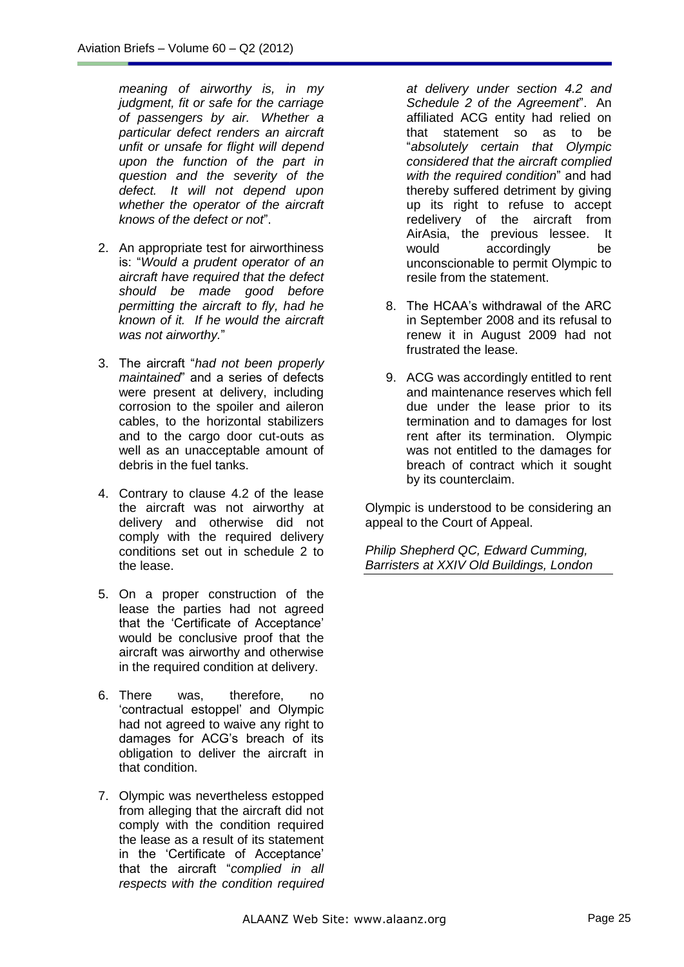*meaning of airworthy is, in my judgment, fit or safe for the carriage of passengers by air. Whether a particular defect renders an aircraft unfit or unsafe for flight will depend upon the function of the part in question and the severity of the defect. It will not depend upon whether the operator of the aircraft knows of the defect or not*".

- 2. An appropriate test for airworthiness is: "*Would a prudent operator of an aircraft have required that the defect should be made good before permitting the aircraft to fly, had he known of it. If he would the aircraft was not airworthy.*"
- 3. The aircraft "*had not been properly maintained*" and a series of defects were present at delivery, including corrosion to the spoiler and aileron cables, to the horizontal stabilizers and to the cargo door cut-outs as well as an unacceptable amount of debris in the fuel tanks.
- 4. Contrary to clause 4.2 of the lease the aircraft was not airworthy at delivery and otherwise did not comply with the required delivery conditions set out in schedule 2 to the lease.
- 5. On a proper construction of the lease the parties had not agreed that the 'Certificate of Acceptance' would be conclusive proof that the aircraft was airworthy and otherwise in the required condition at delivery.
- 6. There was, therefore, no 'contractual estoppel' and Olympic had not agreed to waive any right to damages for ACG's breach of its obligation to deliver the aircraft in that condition.
- 7. Olympic was nevertheless estopped from alleging that the aircraft did not comply with the condition required the lease as a result of its statement in the 'Certificate of Acceptance' that the aircraft "*complied in all respects with the condition required*

*at delivery under section 4.2 and Schedule 2 of the Agreement*". An affiliated ACG entity had relied on that statement so as to be "*absolutely certain that Olympic considered that the aircraft complied with the required condition*" and had thereby suffered detriment by giving up its right to refuse to accept redelivery of the aircraft from AirAsia, the previous lessee. It would accordingly be unconscionable to permit Olympic to resile from the statement.

- 8. The HCAA's withdrawal of the ARC in September 2008 and its refusal to renew it in August 2009 had not frustrated the lease.
- 9. ACG was accordingly entitled to rent and maintenance reserves which fell due under the lease prior to its termination and to damages for lost rent after its termination. Olympic was not entitled to the damages for breach of contract which it sought by its counterclaim.

Olympic is understood to be considering an appeal to the Court of Appeal.

*Philip Shepherd QC, Edward Cumming, Barristers at XXIV Old Buildings, London*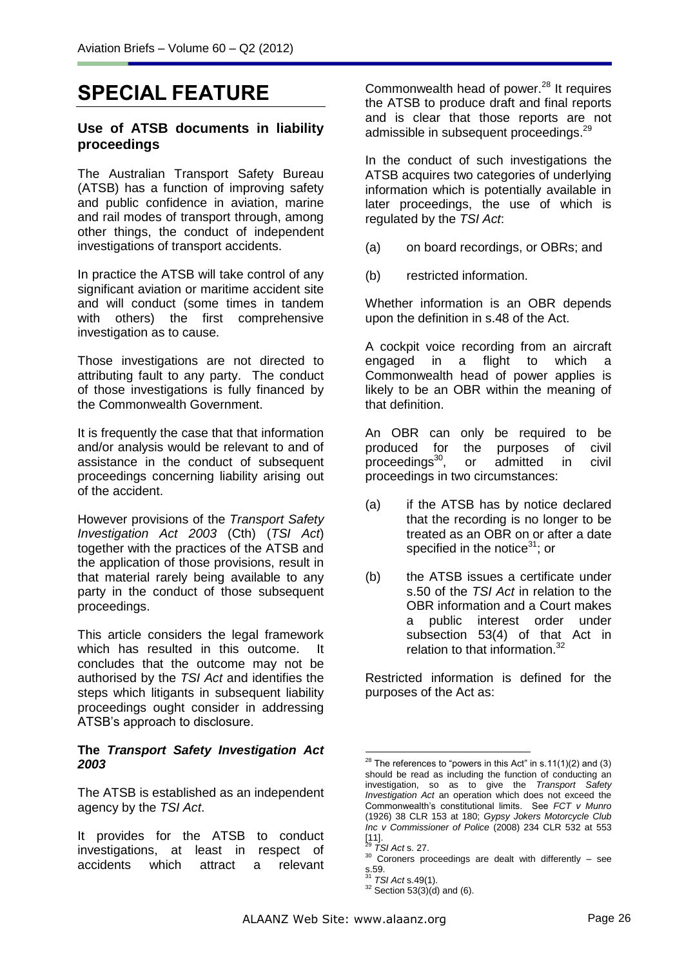# **SPECIAL FEATURE**

### **Use of ATSB documents in liability proceedings**

The Australian Transport Safety Bureau (ATSB) has a function of improving safety and public confidence in aviation, marine and rail modes of transport through, among other things, the conduct of independent investigations of transport accidents.

In practice the ATSB will take control of any significant aviation or maritime accident site and will conduct (some times in tandem with others) the first comprehensive investigation as to cause.

Those investigations are not directed to attributing fault to any party. The conduct of those investigations is fully financed by the Commonwealth Government.

It is frequently the case that that information and/or analysis would be relevant to and of assistance in the conduct of subsequent proceedings concerning liability arising out of the accident.

However provisions of the *Transport Safety Investigation Act 2003* (Cth) (*TSI Act*) together with the practices of the ATSB and the application of those provisions, result in that material rarely being available to any party in the conduct of those subsequent proceedings.

This article considers the legal framework which has resulted in this outcome. It concludes that the outcome may not be authorised by the *TSI Act* and identifies the steps which litigants in subsequent liability proceedings ought consider in addressing ATSB's approach to disclosure.

### **The** *Transport Safety Investigation Act 2003*

The ATSB is established as an independent agency by the *TSI Act*.

It provides for the ATSB to conduct investigations, at least in respect of accidents which attract a relevant

Commonwealth head of power.<sup>28</sup> It requires the ATSB to produce draft and final reports and is clear that those reports are not admissible in subsequent proceedings.<sup>29</sup>

In the conduct of such investigations the ATSB acquires two categories of underlying information which is potentially available in later proceedings, the use of which is regulated by the *TSI Act*:

- (a) on board recordings, or OBRs; and
- (b) restricted information.

Whether information is an OBR depends upon the definition in s.48 of the Act.

A cockpit voice recording from an aircraft engaged in a flight to which a Commonwealth head of power applies is likely to be an OBR within the meaning of that definition.

An OBR can only be required to be produced for the purposes of civil proceedings<sup>30</sup>, or admitted in civil proceedings in two circumstances:

- (a) if the ATSB has by notice declared that the recording is no longer to be treated as an OBR on or after a date specified in the notice $31$ ; or
- (b) the ATSB issues a certificate under s.50 of the *TSI Act* in relation to the OBR information and a Court makes a public interest order under subsection 53(4) of that Act in relation to that information.<sup>32</sup>

Restricted information is defined for the purposes of the Act as:

<sup>&</sup>lt;u>.</u> <sup>28</sup> The references to "powers in this Act" in s.11(1)(2) and (3) should be read as including the function of conducting an investigation, so as to give the *Transport Safety Investigation Act* an operation which does not exceed the Commonwealth's constitutional limits. See *FCT v Munro*  (1926) 38 CLR 153 at 180; *Gypsy Jokers Motorcycle Club Inc v Commissioner of Police* (2008) 234 CLR 532 at 553 [11]. <sup>29</sup> *TSI Act* s. 27.

 $30$  Coroners proceedings are dealt with differently  $-$  see s.59. <sup>31</sup> *TSI Act* s.49(1).

 $32$  Section 53(3)(d) and (6).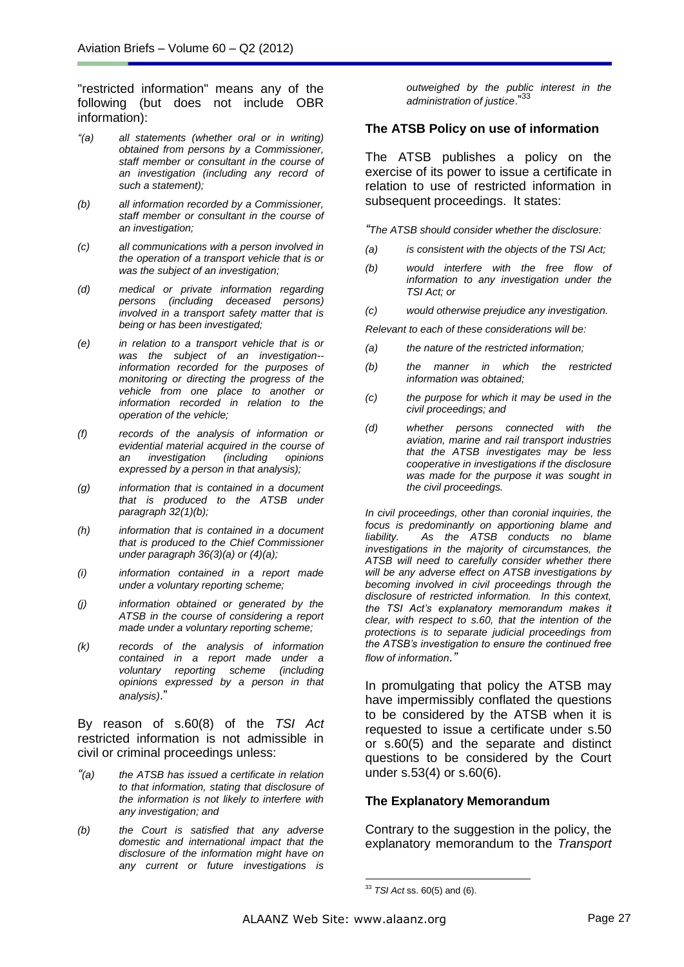"restricted information" means any of the following (but does not include OBR information):

- *"(a) all statements (whether oral or in writing) obtained from persons by a Commissioner, staff member or consultant in the course of an investigation (including any record of such a statement);*
- *(b) all information recorded by a Commissioner, staff member or consultant in the course of an investigation;*
- *(c) all communications with a person involved in the operation of a transport vehicle that is or was the subject of an investigation;*
- *(d) medical or private information regarding (including deceased persons) involved in a transport safety matter that is being or has been investigated;*
- *(e) in relation to a transport vehicle that is or was the subject of an investigation- information recorded for the purposes of monitoring or directing the progress of the vehicle from one place to another or information recorded in relation to the operation of the vehicle;*
- *(f) records of the analysis of information or evidential material acquired in the course of an investigation (including opinions expressed by a person in that analysis);*
- *(g) information that is contained in a document that is produced to the ATSB under paragraph 32(1)(b);*
- *(h) information that is contained in a document that is produced to the Chief Commissioner under paragraph 36(3)(a) or (4)(a);*
- *(i) information contained in a report made under a voluntary reporting scheme;*
- *(j) information obtained or generated by the ATSB in the course of considering a report made under a voluntary reporting scheme;*
- *(k) records of the analysis of information contained in a report made under a voluntary reporting scheme (including opinions expressed by a person in that analysis)*."

By reason of s.60(8) of the *TSI Act* restricted information is not admissible in civil or criminal proceedings unless:

- *"(a) the ATSB has issued a certificate in relation to that information, stating that disclosure of the information is not likely to interfere with any investigation; and*
- *(b) the Court is satisfied that any adverse domestic and international impact that the disclosure of the information might have on any current or future investigations is*

*outweighed by the public interest in the administration of justice*." 33

#### **The ATSB Policy on use of information**

The ATSB publishes a policy on the exercise of its power to issue a certificate in relation to use of restricted information in subsequent proceedings. It states:

*"The ATSB should consider whether the disclosure:*

- *(a) is consistent with the objects of the TSI Act;*
- *(b) would interfere with the free flow of information to any investigation under the TSI Act; or*
- *(c) would otherwise prejudice any investigation.*

*Relevant to each of these considerations will be:*

- *(a) the nature of the restricted information;*
- *(b) the manner in which the restricted information was obtained;*
- *(c) the purpose for which it may be used in the civil proceedings; and*
- *(d) whether persons connected with the aviation, marine and rail transport industries that the ATSB investigates may be less cooperative in investigations if the disclosure was made for the purpose it was sought in the civil proceedings.*

*In civil proceedings, other than coronial inquiries, the focus is predominantly on apportioning blame and liability. As the ATSB conducts no blame investigations in the majority of circumstances, the ATSB will need to carefully consider whether there will be any adverse effect on ATSB investigations by becoming involved in civil proceedings through the disclosure of restricted information. In this context, the TSI Act's explanatory memorandum makes it clear, with respect to s.60, that the intention of the protections is to separate judicial proceedings from the ATSB's investigation to ensure the continued free flow of information."*

In promulgating that policy the ATSB may have impermissibly conflated the questions to be considered by the ATSB when it is requested to issue a certificate under s.50 or s.60(5) and the separate and distinct questions to be considered by the Court under s.53(4) or s.60(6).

### **The Explanatory Memorandum**

Contrary to the suggestion in the policy, the explanatory memorandum to the *Transport* 

-

<sup>33</sup> *TSI Act* ss. 60(5) and (6).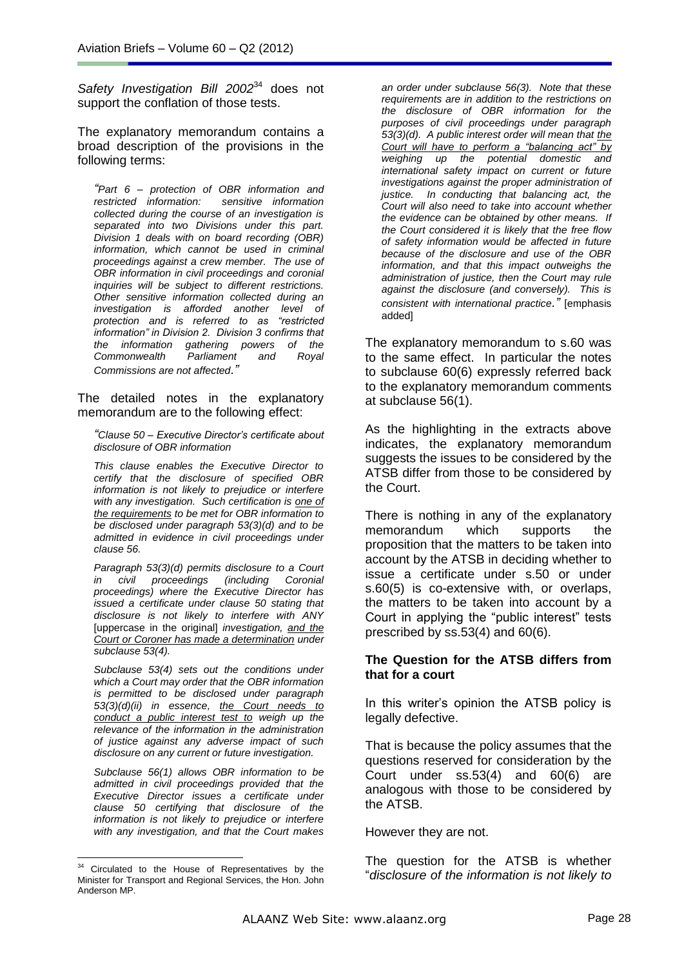*Safety Investigation Bill 2002*<sup>34</sup> does not support the conflation of those tests.

The explanatory memorandum contains a broad description of the provisions in the following terms:

*"Part 6 – protection of OBR information and restricted information: sensitive information collected during the course of an investigation is separated into two Divisions under this part. Division 1 deals with on board recording (OBR) information, which cannot be used in criminal proceedings against a crew member. The use of OBR information in civil proceedings and coronial inquiries will be subject to different restrictions. Other sensitive information collected during an investigation is afforded another level of protection and is referred to as "restricted information" in Division 2. Division 3 confirms that the information gathering powers of the Commonwealth Parliament and Royal Commissions are not affected."*

The detailed notes in the explanatory memorandum are to the following effect:

*"Clause 50 – Executive Director's certificate about disclosure of OBR information*

*This clause enables the Executive Director to certify that the disclosure of specified OBR information is not likely to prejudice or interfere with any investigation. Such certification is one of the requirements to be met for OBR information to be disclosed under paragraph 53(3)(d) and to be admitted in evidence in civil proceedings under clause 56.*

*Paragraph 53(3)(d) permits disclosure to a Court in civil proceedings (including Coronial proceedings) where the Executive Director has issued a certificate under clause 50 stating that disclosure is not likely to interfere with ANY*  [uppercase in the original] *investigation, and the Court or Coroner has made a determination under subclause 53(4).*

*Subclause 53(4) sets out the conditions under which a Court may order that the OBR information is permitted to be disclosed under paragraph 53(3)(d)(ii) in essence, the Court needs to conduct a public interest test to weigh up the relevance of the information in the administration of justice against any adverse impact of such disclosure on any current or future investigation.*

*Subclause 56(1) allows OBR information to be admitted in civil proceedings provided that the Executive Director issues a certificate under clause 50 certifying that disclosure of the information is not likely to prejudice or interfere with any investigation, and that the Court makes* 

*an order under subclause 56(3). Note that these requirements are in addition to the restrictions on the disclosure of OBR information for the purposes of civil proceedings under paragraph 53(3)(d). A public interest order will mean that the Court will have to perform a "balancing act" by weighing up the potential domestic and international safety impact on current or future investigations against the proper administration of justice. In conducting that balancing act, the Court will also need to take into account whether the evidence can be obtained by other means. If the Court considered it is likely that the free flow of safety information would be affected in future because of the disclosure and use of the OBR information, and that this impact outweighs the administration of justice, then the Court may rule against the disclosure (and conversely). This is consistent with international practice."* [emphasis added]

The explanatory memorandum to s.60 was to the same effect. In particular the notes to subclause 60(6) expressly referred back to the explanatory memorandum comments at subclause 56(1).

As the highlighting in the extracts above indicates, the explanatory memorandum suggests the issues to be considered by the ATSB differ from those to be considered by the Court.

There is nothing in any of the explanatory memorandum which supports the proposition that the matters to be taken into account by the ATSB in deciding whether to issue a certificate under s.50 or under s.60(5) is co-extensive with, or overlaps, the matters to be taken into account by a Court in applying the "public interest" tests prescribed by ss.53(4) and 60(6).

### **The Question for the ATSB differs from that for a court**

In this writer's opinion the ATSB policy is legally defective.

That is because the policy assumes that the questions reserved for consideration by the Court under ss.53(4) and 60(6) are analogous with those to be considered by the ATSB.

### However they are not.

The question for the ATSB is whether "*disclosure of the information is not likely to* 

 $\overline{a}$  $34$  Circulated to the House of Representatives by the Minister for Transport and Regional Services, the Hon. John Anderson MP.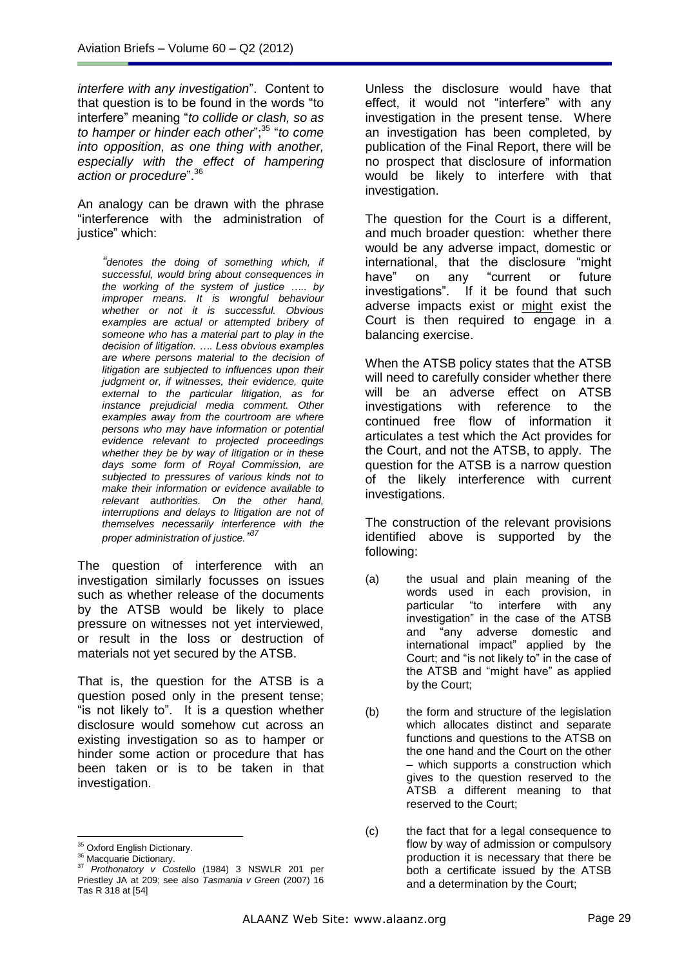*interfere with any investigation*". Content to that question is to be found in the words "to interfere" meaning "*to collide or clash, so as*  to hamper or hinder each other";<sup>35</sup> "to come *into opposition, as one thing with another, especially with the effect of hampering action or procedure*".<sup>36</sup>

An analogy can be drawn with the phrase "interference with the administration of justice" which:

*"denotes the doing of something which, if successful, would bring about consequences in the working of the system of justice ….. by improper means. It is wrongful behaviour whether or not it is successful. Obvious examples are actual or attempted bribery of someone who has a material part to play in the decision of litigation. …. Less obvious examples are where persons material to the decision of litigation are subjected to influences upon their judgment or, if witnesses, their evidence, quite external to the particular litigation, as for instance prejudicial media comment. Other examples away from the courtroom are where persons who may have information or potential evidence relevant to projected proceedings whether they be by way of litigation or in these days some form of Royal Commission, are subjected to pressures of various kinds not to make their information or evidence available to relevant authorities. On the other hand, interruptions and delays to litigation are not of themselves necessarily interference with the proper administration of justice." 37*

The question of interference with an investigation similarly focusses on issues such as whether release of the documents by the ATSB would be likely to place pressure on witnesses not yet interviewed, or result in the loss or destruction of materials not yet secured by the ATSB.

That is, the question for the ATSB is a question posed only in the present tense; "is not likely to". It is a question whether disclosure would somehow cut across an existing investigation so as to hamper or hinder some action or procedure that has been taken or is to be taken in that investigation.

Unless the disclosure would have that effect, it would not "interfere" with any investigation in the present tense. Where an investigation has been completed, by publication of the Final Report, there will be no prospect that disclosure of information would be likely to interfere with that investigation.

The question for the Court is a different, and much broader question: whether there would be any adverse impact, domestic or international, that the disclosure "might have" on any "current or future investigations". If it be found that such adverse impacts exist or might exist the Court is then required to engage in a balancing exercise.

When the ATSB policy states that the ATSB will need to carefully consider whether there will be an adverse effect on ATSB investigations with reference to the continued free flow of information it articulates a test which the Act provides for the Court, and not the ATSB, to apply. The question for the ATSB is a narrow question of the likely interference with current investigations.

The construction of the relevant provisions identified above is supported by the following:

- (a) the usual and plain meaning of the words used in each provision, in particular "to interfere with any investigation" in the case of the ATSB and "any adverse domestic and international impact" applied by the Court; and "is not likely to" in the case of the ATSB and "might have" as applied by the Court;
- (b) the form and structure of the legislation which allocates distinct and separate functions and questions to the ATSB on the one hand and the Court on the other – which supports a construction which gives to the question reserved to the ATSB a different meaning to that reserved to the Court;

 $\overline{a}$ <sup>35</sup> Oxford English Dictionary.

<sup>&</sup>lt;sup>36</sup> Macquarie Dictionary.

<sup>37</sup> *Prothonatory v Costello* (1984) 3 NSWLR 201 per Priestley JA at 209; see also *Tasmania v Green* (2007) 16 Tas R 318 at [54]

<sup>(</sup>c) the fact that for a legal consequence to flow by way of admission or compulsory production it is necessary that there be both a certificate issued by the ATSB and a determination by the Court;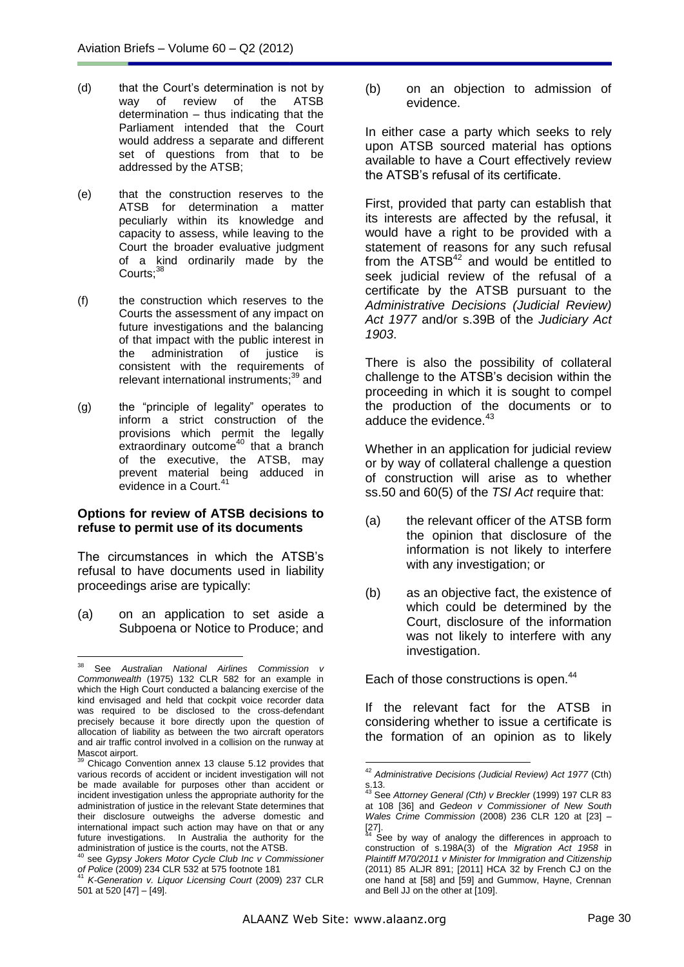- (d) that the Court's determination is not by way of review of the ATSB determination – thus indicating that the Parliament intended that the Court would address a separate and different set of questions from that to be addressed by the ATSB;
- (e) that the construction reserves to the ATSB for determination a matter peculiarly within its knowledge and capacity to assess, while leaving to the Court the broader evaluative judgment of a kind ordinarily made by the Courts:<sup>38</sup>
- (f) the construction which reserves to the Courts the assessment of any impact on future investigations and the balancing of that impact with the public interest in the administration of justice is consistent with the requirements of relevant international instruments;<sup>39</sup> and
- (g) the "principle of legality" operates to inform a strict construction of the provisions which permit the legally extraordinary outcome<sup>40</sup> that a branch of the executive, the ATSB, may prevent material being adduced in evidence in a Court.<sup>41</sup>

### **Options for review of ATSB decisions to refuse to permit use of its documents**

The circumstances in which the ATSB's refusal to have documents used in liability proceedings arise are typically:

(a) on an application to set aside a Subpoena or Notice to Produce; and (b) on an objection to admission of evidence.

In either case a party which seeks to rely upon ATSB sourced material has options available to have a Court effectively review the ATSB's refusal of its certificate.

First, provided that party can establish that its interests are affected by the refusal, it would have a right to be provided with a statement of reasons for any such refusal from the  $ATSB<sup>42</sup>$  and would be entitled to seek judicial review of the refusal of a certificate by the ATSB pursuant to the *Administrative Decisions (Judicial Review) Act 1977* and/or s.39B of the *Judiciary Act 1903*.

There is also the possibility of collateral challenge to the ATSB's decision within the proceeding in which it is sought to compel the production of the documents or to adduce the evidence.<sup>43</sup>

Whether in an application for judicial review or by way of collateral challenge a question of construction will arise as to whether ss.50 and 60(5) of the *TSI Act* require that:

- (a) the relevant officer of the ATSB form the opinion that disclosure of the information is not likely to interfere with any investigation; or
- (b) as an objective fact, the existence of which could be determined by the Court, disclosure of the information was not likely to interfere with any investigation.

Each of those constructions is open.<sup>44</sup>

If the relevant fact for the ATSB in considering whether to issue a certificate is the formation of an opinion as to likely

<u>.</u>

<sup>38</sup> <sup>38</sup> See *Australian National Airlines Commission v Commonwealth* (1975) 132 CLR 582 for an example in which the High Court conducted a balancing exercise of the kind envisaged and held that cockpit voice recorder data was required to be disclosed to the cross-defendant precisely because it bore directly upon the question of allocation of liability as between the two aircraft operators and air traffic control involved in a collision on the runway at Mascot airport.

Chicago Convention annex 13 clause 5.12 provides that various records of accident or incident investigation will not be made available for purposes other than accident or incident investigation unless the appropriate authority for the administration of justice in the relevant State determines that their disclosure outweighs the adverse domestic and international impact such action may have on that or any future investigations. In Australia the authority for the administration of justice is the courts, not the ATSB.

<sup>40</sup> see *Gypsy Jokers Motor Cycle Club Inc v Commissioner of Police* (2009) 234 CLR 532 at 575 footnote 181 <sup>41</sup> *K-Generation v. Liquor Licensing Court* (2009) 237 CLR

<sup>501</sup> at 520 [47] – [49].

<sup>42</sup> *Administrative Decisions (Judicial Review) Act 1977* (Cth) s.13.

<sup>43</sup> See *Attorney General (Cth) v Breckler* (1999) 197 CLR 83 at 108 [36] and *Gedeon v Commissioner of New South Wales Crime Commission* (2008) 236 CLR 120 at [23] –  $\begin{bmatrix} 27 \\ 44 \end{bmatrix}$ .

See by way of analogy the differences in approach to construction of s.198A(3) of the *Migration Act 1958* in *Plaintiff M70/2011 v Minister for Immigration and Citizenship* (2011) 85 ALJR 891; [2011] HCA 32 by French CJ on the one hand at [58] and [59] and Gummow, Hayne, Crennan and Bell JJ on the other at [109].